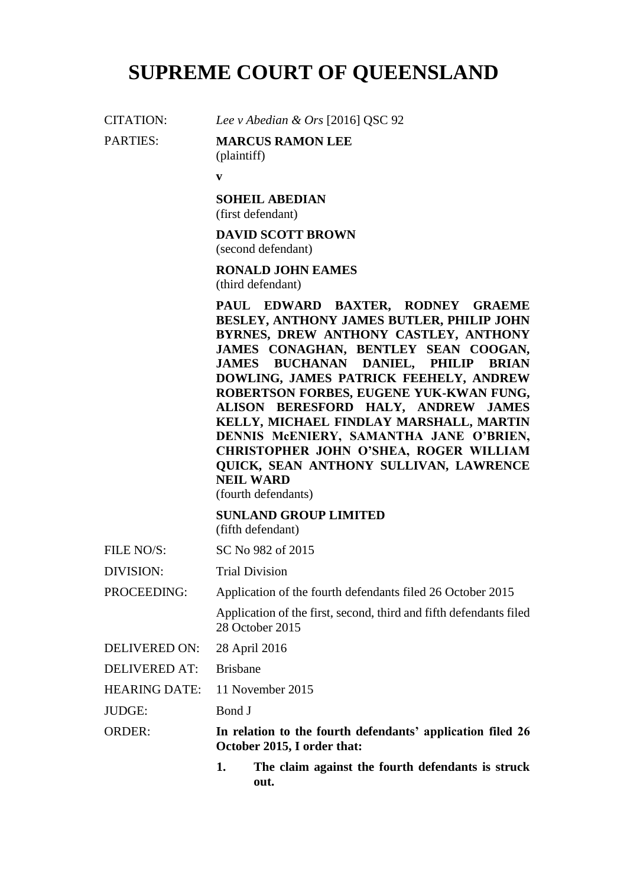# **SUPREME COURT OF QUEENSLAND**

CITATION: *Lee v Abedian & Ors* [2016] QSC 92

PARTIES: **MARCUS RAMON LEE**

(plaintiff)

**v**

**SOHEIL ABEDIAN** (first defendant)

**DAVID SCOTT BROWN** (second defendant)

**RONALD JOHN EAMES** (third defendant)

**PAUL EDWARD BAXTER, RODNEY GRAEME BESLEY, ANTHONY JAMES BUTLER, PHILIP JOHN BYRNES, DREW ANTHONY CASTLEY, ANTHONY JAMES CONAGHAN, BENTLEY SEAN COOGAN, JAMES BUCHANAN DANIEL, PHILIP BRIAN DOWLING, JAMES PATRICK FEEHELY, ANDREW ROBERTSON FORBES, EUGENE YUK-KWAN FUNG, ALISON BERESFORD HALY, ANDREW JAMES KELLY, MICHAEL FINDLAY MARSHALL, MARTIN DENNIS McENIERY, SAMANTHA JANE O'BRIEN, CHRISTOPHER JOHN O'SHEA, ROGER WILLIAM QUICK, SEAN ANTHONY SULLIVAN, LAWRENCE NEIL WARD**

(fourth defendants)

**SUNLAND GROUP LIMITED** (fifth defendant)

FILE NO/S: SC No 982 of 2015

DIVISION: Trial Division

PROCEEDING: Application of the fourth defendants filed 26 October 2015

Application of the first, second, third and fifth defendants filed 28 October 2015

DELIVERED ON: 28 April 2016

DELIVERED AT: Brisbane

HEARING DATE: 11 November 2015

JUDGE: Bond J

ORDER: **In relation to the fourth defendants' application filed 26 October 2015, I order that:**

> **1. The claim against the fourth defendants is struck out.**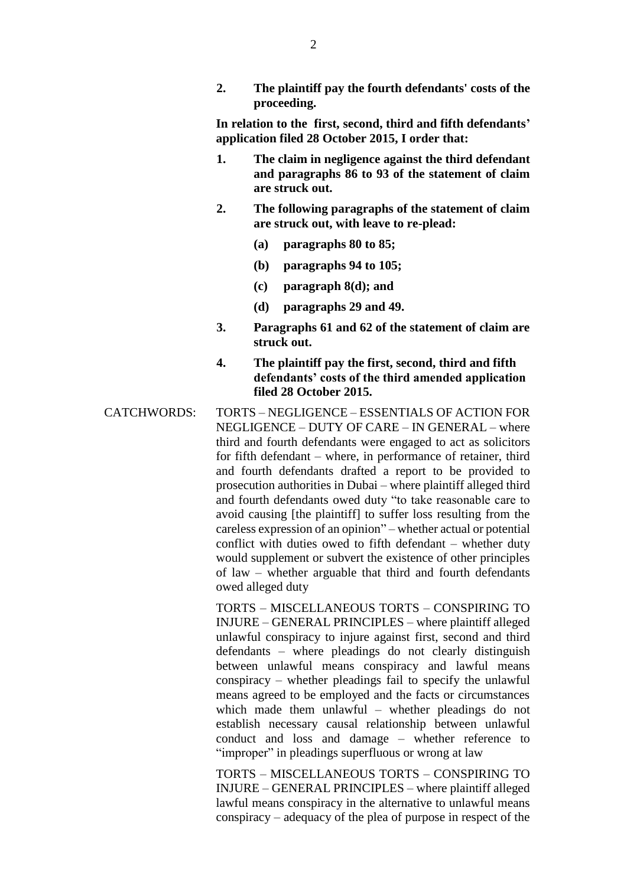**2. The plaintiff pay the fourth defendants' costs of the proceeding.**

**In relation to the first, second, third and fifth defendants' application filed 28 October 2015, I order that:**

- **1. The claim in negligence against the third defendant and paragraphs 86 to 93 of the statement of claim are struck out.**
- **2. The following paragraphs of the statement of claim are struck out, with leave to re-plead:**
	- **(a) paragraphs 80 to 85;**
	- **(b) paragraphs 94 to 105;**
	- **(c) paragraph 8(d); and**
	- **(d) paragraphs 29 and 49.**
- **3. Paragraphs 61 and 62 of the statement of claim are struck out.**
- **4. The plaintiff pay the first, second, third and fifth defendants' costs of the third amended application filed 28 October 2015.**
- CATCHWORDS: TORTS NEGLIGENCE ESSENTIALS OF ACTION FOR NEGLIGENCE – DUTY OF CARE – IN GENERAL – where third and fourth defendants were engaged to act as solicitors for fifth defendant – where, in performance of retainer, third and fourth defendants drafted a report to be provided to prosecution authorities in Dubai – where plaintiff alleged third and fourth defendants owed duty "to take reasonable care to avoid causing [the plaintiff] to suffer loss resulting from the careless expression of an opinion" – whether actual or potential conflict with duties owed to fifth defendant – whether duty would supplement or subvert the existence of other principles of law – whether arguable that third and fourth defendants owed alleged duty

TORTS – MISCELLANEOUS TORTS – CONSPIRING TO INJURE – GENERAL PRINCIPLES – where plaintiff alleged unlawful conspiracy to injure against first, second and third defendants – where pleadings do not clearly distinguish between unlawful means conspiracy and lawful means conspiracy – whether pleadings fail to specify the unlawful means agreed to be employed and the facts or circumstances which made them unlawful – whether pleadings do not establish necessary causal relationship between unlawful conduct and loss and damage – whether reference to "improper" in pleadings superfluous or wrong at law

TORTS – MISCELLANEOUS TORTS – CONSPIRING TO INJURE – GENERAL PRINCIPLES – where plaintiff alleged lawful means conspiracy in the alternative to unlawful means conspiracy – adequacy of the plea of purpose in respect of the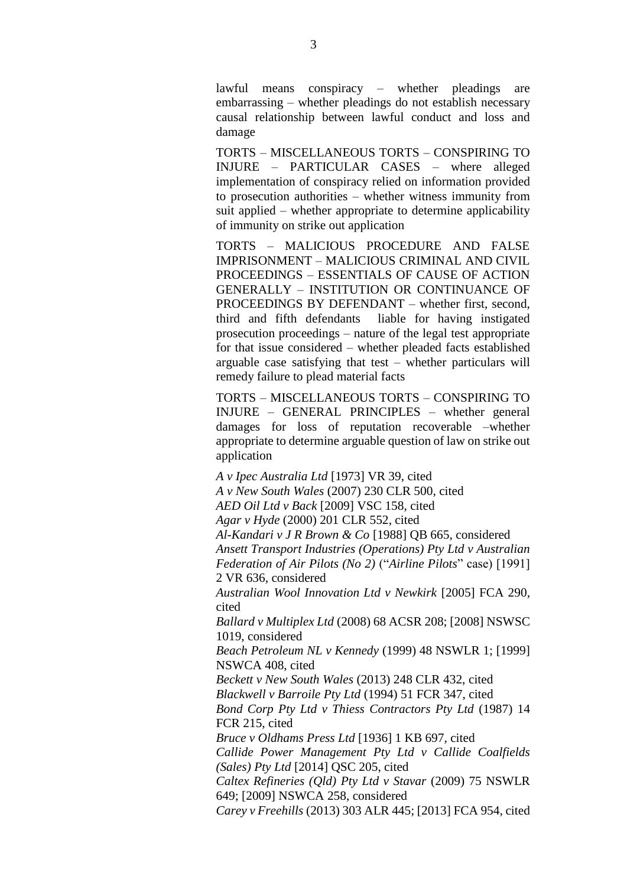lawful means conspiracy – whether pleadings are embarrassing – whether pleadings do not establish necessary causal relationship between lawful conduct and loss and damage

TORTS – MISCELLANEOUS TORTS – CONSPIRING TO INJURE – PARTICULAR CASES – where alleged implementation of conspiracy relied on information provided to prosecution authorities – whether witness immunity from suit applied – whether appropriate to determine applicability of immunity on strike out application

TORTS – MALICIOUS PROCEDURE AND FALSE IMPRISONMENT – MALICIOUS CRIMINAL AND CIVIL PROCEEDINGS – ESSENTIALS OF CAUSE OF ACTION GENERALLY – INSTITUTION OR CONTINUANCE OF PROCEEDINGS BY DEFENDANT – whether first, second, third and fifth defendants liable for having instigated prosecution proceedings – nature of the legal test appropriate for that issue considered – whether pleaded facts established arguable case satisfying that test – whether particulars will remedy failure to plead material facts

TORTS – MISCELLANEOUS TORTS – CONSPIRING TO INJURE – GENERAL PRINCIPLES – whether general damages for loss of reputation recoverable –whether appropriate to determine arguable question of law on strike out application

*A v Ipec Australia Ltd* [1973] VR 39, cited *A v New South Wales* (2007) 230 CLR 500, cited *AED Oil Ltd v Back* [2009] VSC 158, cited *Agar v Hyde* (2000) 201 CLR 552, cited *Al-Kandari v J R Brown & Co* [1988] QB 665, considered *Ansett Transport Industries (Operations) Pty Ltd v Australian Federation of Air Pilots (No 2)* ("*Airline Pilots*" case) [1991] 2 VR 636, considered *Australian Wool Innovation Ltd v Newkirk* [2005] FCA 290, cited *Ballard v Multiplex Ltd* (2008) 68 ACSR 208; [2008] NSWSC 1019, considered *Beach Petroleum NL v Kennedy* (1999) 48 NSWLR 1; [1999] NSWCA 408, cited *Beckett v New South Wales* (2013) 248 CLR 432, cited *Blackwell v Barroile Pty Ltd* (1994) 51 FCR 347, cited *Bond Corp Pty Ltd v Thiess Contractors Pty Ltd* (1987) 14 FCR 215, cited *Bruce v Oldhams Press Ltd* [1936] 1 KB 697, cited *Callide Power Management Pty Ltd v Callide Coalfields (Sales) Pty Ltd* [2014] QSC 205, cited *Caltex Refineries (Qld) Pty Ltd v Stavar* (2009) 75 NSWLR 649; [2009] NSWCA 258, considered *Carey v Freehills* (2013) 303 ALR 445; [2013] FCA 954, cited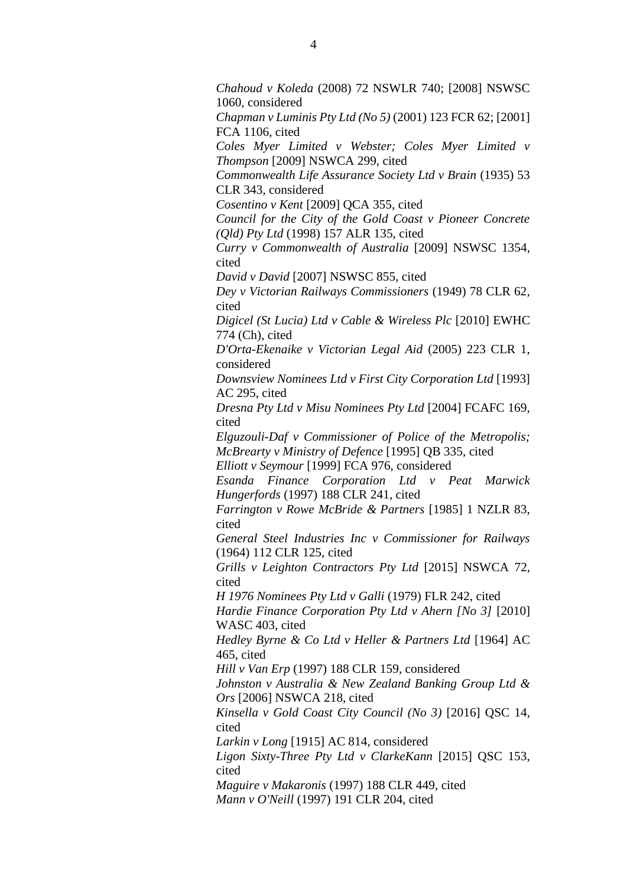*Chahoud v Koleda* (2008) 72 NSWLR 740; [2008] NSWSC 1060, considered

*Chapman v Luminis Pty Ltd (No 5)* (2001) 123 FCR 62; [2001] FCA 1106, cited

*Coles Myer Limited v Webster; Coles Myer Limited v Thompson* [2009] NSWCA 299, cited

*Commonwealth Life Assurance Society Ltd v Brain* (1935) 53 CLR 343, considered

*Cosentino v Kent* [2009] QCA 355, cited

*Council for the City of the Gold Coast v Pioneer Concrete (Qld) Pty Ltd* (1998) 157 ALR 135, cited

*Curry v Commonwealth of Australia* [2009] NSWSC 1354, cited

*David v David* [2007] NSWSC 855, cited

*Dey v Victorian Railways Commissioners* (1949) 78 CLR 62, cited

*Digicel (St Lucia) Ltd v Cable & Wireless Plc* [2010] EWHC 774 (Ch), cited

*D'Orta-Ekenaike v Victorian Legal Aid* (2005) 223 CLR 1, considered

*Downsview Nominees Ltd v First City Corporation Ltd* [1993] AC 295, cited

*Dresna Pty Ltd v Misu Nominees Pty Ltd* [2004] FCAFC 169, cited

*Elguzouli-Daf v Commissioner of Police of the Metropolis; McBrearty v Ministry of Defence* [1995] QB 335, cited

*Elliott v Seymour* [1999] FCA 976, considered

*Esanda Finance Corporation Ltd v Peat Marwick Hungerfords* (1997) 188 CLR 241, cited

*Farrington v Rowe McBride & Partners* [1985] 1 NZLR 83, cited

*General Steel Industries Inc v Commissioner for Railways* (1964) 112 CLR 125, cited

*Grills v Leighton Contractors Pty Ltd* [2015] NSWCA 72, cited

*H 1976 Nominees Pty Ltd v Galli* (1979) FLR 242, cited

*Hardie Finance Corporation Pty Ltd v Ahern [No 3]* [2010] WASC 403, cited

*Hedley Byrne & Co Ltd v Heller & Partners Ltd* [1964] AC 465, cited

*Hill v Van Erp* (1997) 188 CLR 159, considered

*Johnston v Australia & New Zealand Banking Group Ltd & Ors* [2006] NSWCA 218, cited

*Kinsella v Gold Coast City Council (No 3)* [2016] QSC 14, cited

*Larkin v Long* [1915] AC 814, considered

*Ligon Sixty-Three Pty Ltd v ClarkeKann* [2015] QSC 153, cited

*Maguire v Makaronis* (1997) 188 CLR 449, cited *Mann v O'Neill* (1997) 191 CLR 204, cited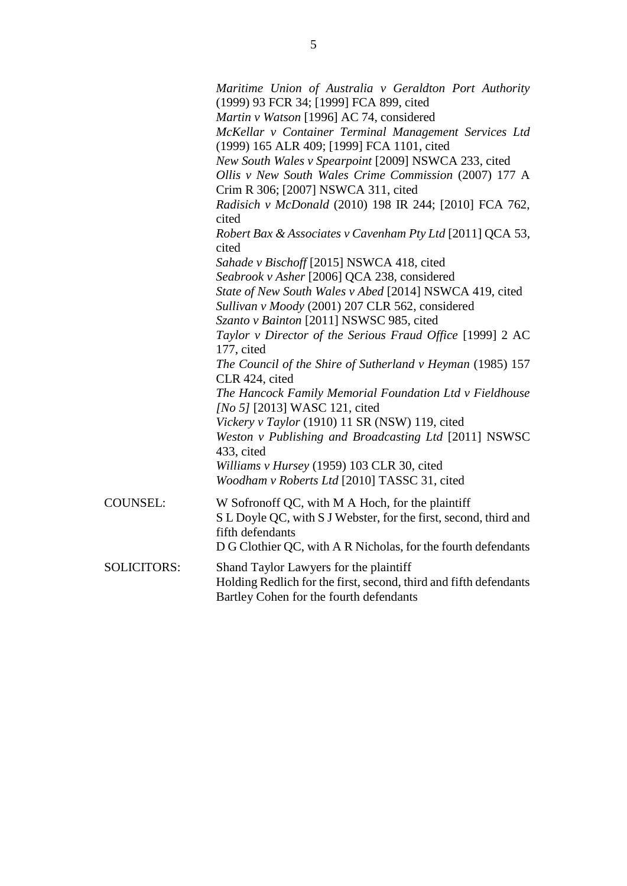|                 | Maritime Union of Australia v Geraldton Port Authority<br>(1999) 93 FCR 34; [1999] FCA 899, cited<br>Martin v Watson [1996] AC 74, considered<br>McKellar v Container Terminal Management Services Ltd<br>(1999) 165 ALR 409; [1999] FCA 1101, cited<br>New South Wales v Spearpoint [2009] NSWCA 233, cited<br>Ollis v New South Wales Crime Commission (2007) 177 A<br>Crim R 306; [2007] NSWCA 311, cited |
|-----------------|--------------------------------------------------------------------------------------------------------------------------------------------------------------------------------------------------------------------------------------------------------------------------------------------------------------------------------------------------------------------------------------------------------------|
|                 | Radisich v McDonald (2010) 198 IR 244; [2010] FCA 762,<br>cited<br>Robert Bax & Associates v Cavenham Pty Ltd [2011] QCA 53,<br>cited                                                                                                                                                                                                                                                                        |
|                 | Sahade v Bischoff [2015] NSWCA 418, cited<br>Seabrook v Asher [2006] QCA 238, considered<br>State of New South Wales v Abed [2014] NSWCA 419, cited<br>Sullivan v Moody (2001) 207 CLR 562, considered                                                                                                                                                                                                       |
|                 | Szanto v Bainton [2011] NSWSC 985, cited<br>Taylor v Director of the Serious Fraud Office [1999] 2 AC<br>177, cited<br>The Council of the Shire of Sutherland v Heyman (1985) 157                                                                                                                                                                                                                            |
|                 | CLR 424, cited<br>The Hancock Family Memorial Foundation Ltd v Fieldhouse<br>[No 5] [2013] WASC 121, cited<br>Vickery v Taylor (1910) 11 SR (NSW) 119, cited<br>Weston v Publishing and Broadcasting Ltd [2011] NSWSC                                                                                                                                                                                        |
|                 | 433, cited<br>Williams v Hursey (1959) 103 CLR 30, cited<br>Woodham v Roberts Ltd [2010] TASSC 31, cited                                                                                                                                                                                                                                                                                                     |
| <b>COUNSEL:</b> | W Sofronoff QC, with M A Hoch, for the plaintiff<br>S L Doyle QC, with S J Webster, for the first, second, third and<br>fifth defendants<br>D G Clothier QC, with A R Nicholas, for the fourth defendants                                                                                                                                                                                                    |
|                 |                                                                                                                                                                                                                                                                                                                                                                                                              |

SOLICITORS: Shand Taylor Lawyers for the plaintiff Holding Redlich for the first, second, third and fifth defendants Bartley Cohen for the fourth defendants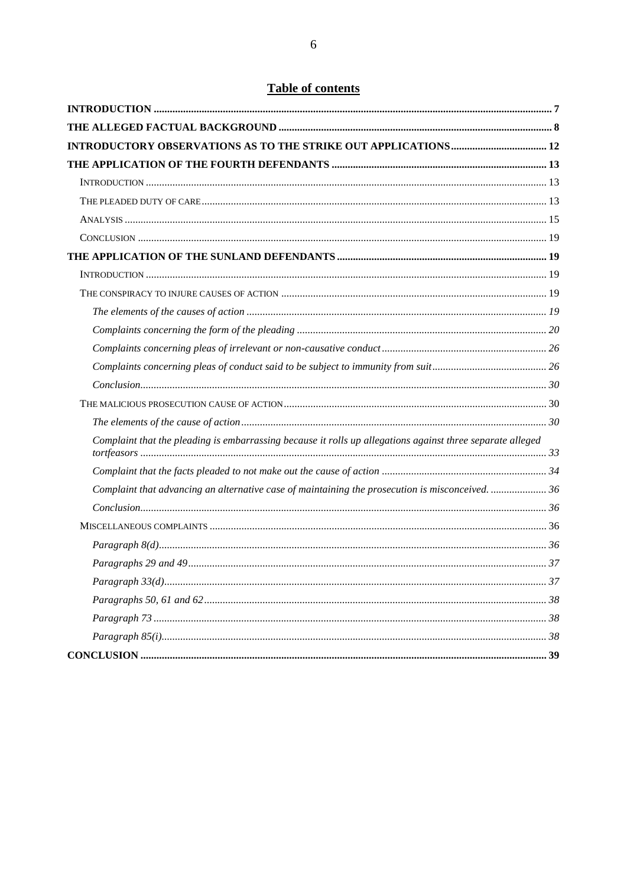# **Table of contents**

| Complaint that the pleading is embarrassing because it rolls up allegations against three separate alleged |  |
|------------------------------------------------------------------------------------------------------------|--|
|                                                                                                            |  |
| Complaint that advancing an alternative case of maintaining the prosecution is misconceived.  36           |  |
|                                                                                                            |  |
|                                                                                                            |  |
|                                                                                                            |  |
|                                                                                                            |  |
|                                                                                                            |  |
|                                                                                                            |  |
|                                                                                                            |  |
|                                                                                                            |  |
|                                                                                                            |  |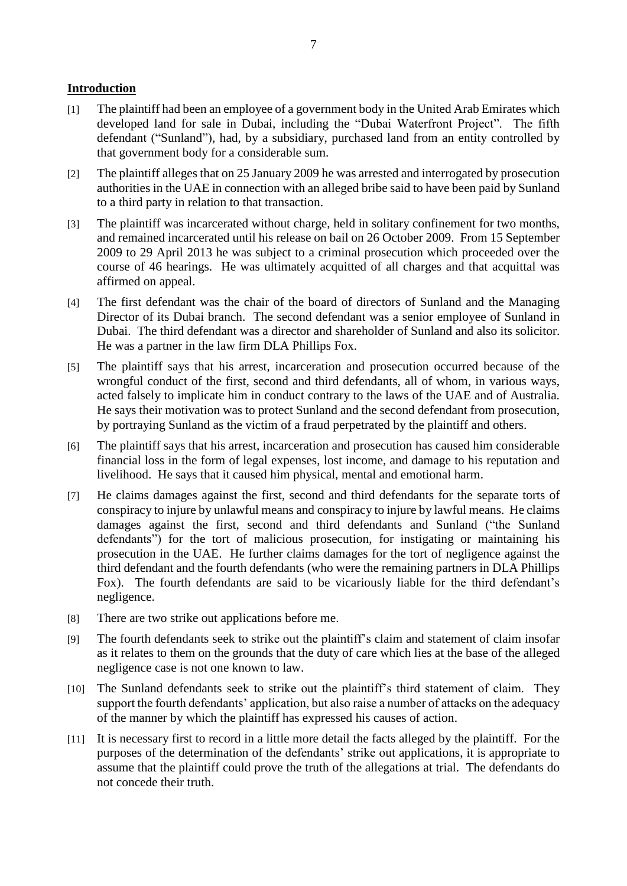## **Introduction**

- [1] The plaintiff had been an employee of a government body in the United Arab Emirates which developed land for sale in Dubai, including the "Dubai Waterfront Project". The fifth defendant ("Sunland"), had, by a subsidiary, purchased land from an entity controlled by that government body for a considerable sum.
- [2] The plaintiff alleges that on 25 January 2009 he was arrested and interrogated by prosecution authorities in the UAE in connection with an alleged bribe said to have been paid by Sunland to a third party in relation to that transaction.
- [3] The plaintiff was incarcerated without charge, held in solitary confinement for two months, and remained incarcerated until his release on bail on 26 October 2009. From 15 September 2009 to 29 April 2013 he was subject to a criminal prosecution which proceeded over the course of 46 hearings. He was ultimately acquitted of all charges and that acquittal was affirmed on appeal.
- [4] The first defendant was the chair of the board of directors of Sunland and the Managing Director of its Dubai branch. The second defendant was a senior employee of Sunland in Dubai. The third defendant was a director and shareholder of Sunland and also its solicitor. He was a partner in the law firm DLA Phillips Fox.
- [5] The plaintiff says that his arrest, incarceration and prosecution occurred because of the wrongful conduct of the first, second and third defendants, all of whom, in various ways, acted falsely to implicate him in conduct contrary to the laws of the UAE and of Australia. He says their motivation was to protect Sunland and the second defendant from prosecution, by portraying Sunland as the victim of a fraud perpetrated by the plaintiff and others.
- [6] The plaintiff says that his arrest, incarceration and prosecution has caused him considerable financial loss in the form of legal expenses, lost income, and damage to his reputation and livelihood. He says that it caused him physical, mental and emotional harm.
- [7] He claims damages against the first, second and third defendants for the separate torts of conspiracy to injure by unlawful means and conspiracy to injure by lawful means. He claims damages against the first, second and third defendants and Sunland ("the Sunland defendants") for the tort of malicious prosecution, for instigating or maintaining his prosecution in the UAE. He further claims damages for the tort of negligence against the third defendant and the fourth defendants (who were the remaining partners in DLA Phillips Fox). The fourth defendants are said to be vicariously liable for the third defendant's negligence.
- [8] There are two strike out applications before me.
- [9] The fourth defendants seek to strike out the plaintiff's claim and statement of claim insofar as it relates to them on the grounds that the duty of care which lies at the base of the alleged negligence case is not one known to law.
- [10] The Sunland defendants seek to strike out the plaintiff's third statement of claim. They support the fourth defendants' application, but also raise a number of attacks on the adequacy of the manner by which the plaintiff has expressed his causes of action.
- [11] It is necessary first to record in a little more detail the facts alleged by the plaintiff. For the purposes of the determination of the defendants' strike out applications, it is appropriate to assume that the plaintiff could prove the truth of the allegations at trial. The defendants do not concede their truth.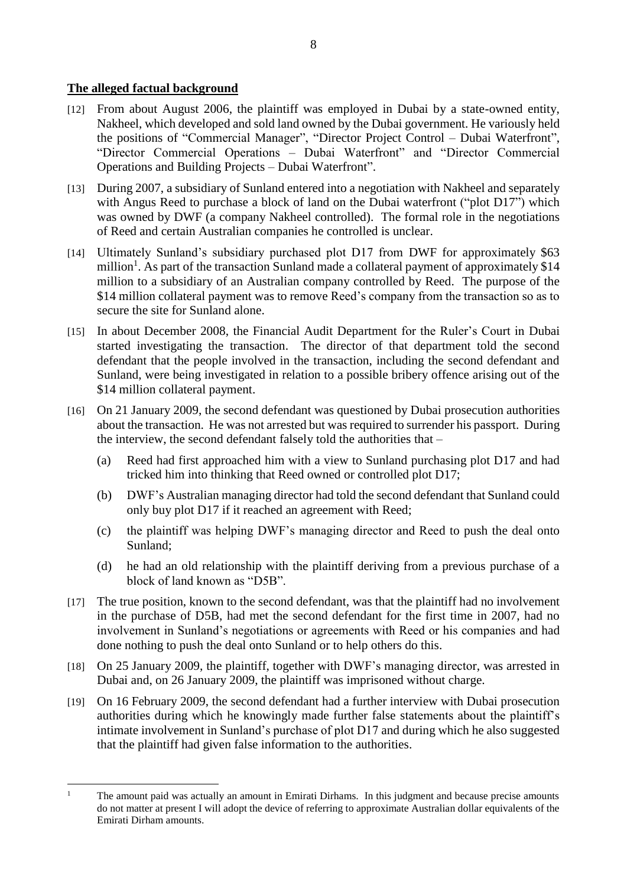## **The alleged factual background**

- [12] From about August 2006, the plaintiff was employed in Dubai by a state-owned entity, Nakheel, which developed and sold land owned by the Dubai government. He variously held the positions of "Commercial Manager", "Director Project Control – Dubai Waterfront", "Director Commercial Operations – Dubai Waterfront" and "Director Commercial Operations and Building Projects – Dubai Waterfront".
- [13] During 2007, a subsidiary of Sunland entered into a negotiation with Nakheel and separately with Angus Reed to purchase a block of land on the Dubai waterfront ("plot D17") which was owned by DWF (a company Nakheel controlled). The formal role in the negotiations of Reed and certain Australian companies he controlled is unclear.
- [14] Ultimately Sunland's subsidiary purchased plot D17 from DWF for approximately \$63 million<sup>1</sup>. As part of the transaction Sunland made a collateral payment of approximately \$14 million to a subsidiary of an Australian company controlled by Reed. The purpose of the \$14 million collateral payment was to remove Reed's company from the transaction so as to secure the site for Sunland alone.
- [15] In about December 2008, the Financial Audit Department for the Ruler's Court in Dubai started investigating the transaction. The director of that department told the second defendant that the people involved in the transaction, including the second defendant and Sunland, were being investigated in relation to a possible bribery offence arising out of the \$14 million collateral payment.
- [16] On 21 January 2009, the second defendant was questioned by Dubai prosecution authorities about the transaction. He was not arrested but was required to surrender his passport. During the interview, the second defendant falsely told the authorities that –
	- (a) Reed had first approached him with a view to Sunland purchasing plot D17 and had tricked him into thinking that Reed owned or controlled plot D17;
	- (b) DWF's Australian managing director had told the second defendant that Sunland could only buy plot D17 if it reached an agreement with Reed;
	- (c) the plaintiff was helping DWF's managing director and Reed to push the deal onto Sunland;
	- (d) he had an old relationship with the plaintiff deriving from a previous purchase of a block of land known as "D5B".
- [17] The true position, known to the second defendant, was that the plaintiff had no involvement in the purchase of D5B, had met the second defendant for the first time in 2007, had no involvement in Sunland's negotiations or agreements with Reed or his companies and had done nothing to push the deal onto Sunland or to help others do this.
- [18] On 25 January 2009, the plaintiff, together with DWF's managing director, was arrested in Dubai and, on 26 January 2009, the plaintiff was imprisoned without charge.
- [19] On 16 February 2009, the second defendant had a further interview with Dubai prosecution authorities during which he knowingly made further false statements about the plaintiff's intimate involvement in Sunland's purchase of plot D17 and during which he also suggested that the plaintiff had given false information to the authorities.

 $\overline{a}$ <sup>1</sup> The amount paid was actually an amount in Emirati Dirhams. In this judgment and because precise amounts do not matter at present I will adopt the device of referring to approximate Australian dollar equivalents of the Emirati Dirham amounts.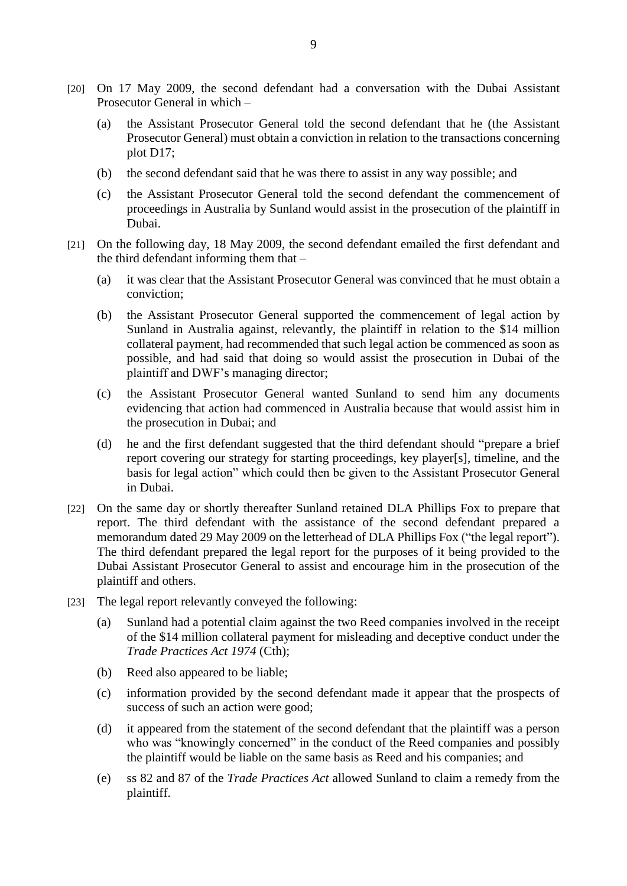- [20] On 17 May 2009, the second defendant had a conversation with the Dubai Assistant Prosecutor General in which –
	- (a) the Assistant Prosecutor General told the second defendant that he (the Assistant Prosecutor General) must obtain a conviction in relation to the transactions concerning plot D17;
	- (b) the second defendant said that he was there to assist in any way possible; and
	- (c) the Assistant Prosecutor General told the second defendant the commencement of proceedings in Australia by Sunland would assist in the prosecution of the plaintiff in Dubai.
- [21] On the following day, 18 May 2009, the second defendant emailed the first defendant and the third defendant informing them that –
	- (a) it was clear that the Assistant Prosecutor General was convinced that he must obtain a conviction;
	- (b) the Assistant Prosecutor General supported the commencement of legal action by Sunland in Australia against, relevantly, the plaintiff in relation to the \$14 million collateral payment, had recommended that such legal action be commenced as soon as possible, and had said that doing so would assist the prosecution in Dubai of the plaintiff and DWF's managing director;
	- (c) the Assistant Prosecutor General wanted Sunland to send him any documents evidencing that action had commenced in Australia because that would assist him in the prosecution in Dubai; and
	- (d) he and the first defendant suggested that the third defendant should "prepare a brief report covering our strategy for starting proceedings, key player[s], timeline, and the basis for legal action" which could then be given to the Assistant Prosecutor General in Dubai.
- [22] On the same day or shortly thereafter Sunland retained DLA Phillips Fox to prepare that report. The third defendant with the assistance of the second defendant prepared a memorandum dated 29 May 2009 on the letterhead of DLA Phillips Fox ("the legal report"). The third defendant prepared the legal report for the purposes of it being provided to the Dubai Assistant Prosecutor General to assist and encourage him in the prosecution of the plaintiff and others.
- [23] The legal report relevantly conveyed the following:
	- (a) Sunland had a potential claim against the two Reed companies involved in the receipt of the \$14 million collateral payment for misleading and deceptive conduct under the *Trade Practices Act 1974* (Cth);
	- (b) Reed also appeared to be liable;
	- (c) information provided by the second defendant made it appear that the prospects of success of such an action were good;
	- (d) it appeared from the statement of the second defendant that the plaintiff was a person who was "knowingly concerned" in the conduct of the Reed companies and possibly the plaintiff would be liable on the same basis as Reed and his companies; and
	- (e) ss 82 and 87 of the *Trade Practices Act* allowed Sunland to claim a remedy from the plaintiff.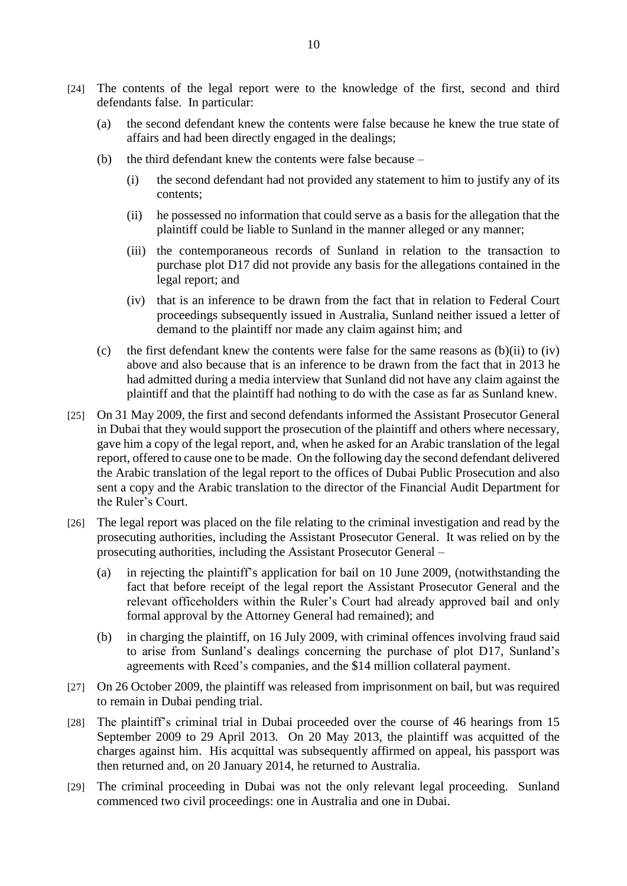- [24] The contents of the legal report were to the knowledge of the first, second and third defendants false. In particular:
	- (a) the second defendant knew the contents were false because he knew the true state of affairs and had been directly engaged in the dealings;
	- (b) the third defendant knew the contents were false because
		- (i) the second defendant had not provided any statement to him to justify any of its contents;
		- (ii) he possessed no information that could serve as a basis for the allegation that the plaintiff could be liable to Sunland in the manner alleged or any manner;
		- (iii) the contemporaneous records of Sunland in relation to the transaction to purchase plot D17 did not provide any basis for the allegations contained in the legal report; and
		- (iv) that is an inference to be drawn from the fact that in relation to Federal Court proceedings subsequently issued in Australia, Sunland neither issued a letter of demand to the plaintiff nor made any claim against him; and
	- (c) the first defendant knew the contents were false for the same reasons as  $(b)(ii)$  to  $(iv)$ above and also because that is an inference to be drawn from the fact that in 2013 he had admitted during a media interview that Sunland did not have any claim against the plaintiff and that the plaintiff had nothing to do with the case as far as Sunland knew.
- [25] On 31 May 2009, the first and second defendants informed the Assistant Prosecutor General in Dubai that they would support the prosecution of the plaintiff and others where necessary, gave him a copy of the legal report, and, when he asked for an Arabic translation of the legal report, offered to cause one to be made. On the following day the second defendant delivered the Arabic translation of the legal report to the offices of Dubai Public Prosecution and also sent a copy and the Arabic translation to the director of the Financial Audit Department for the Ruler's Court.
- [26] The legal report was placed on the file relating to the criminal investigation and read by the prosecuting authorities, including the Assistant Prosecutor General. It was relied on by the prosecuting authorities, including the Assistant Prosecutor General –
	- (a) in rejecting the plaintiff's application for bail on 10 June 2009, (notwithstanding the fact that before receipt of the legal report the Assistant Prosecutor General and the relevant officeholders within the Ruler's Court had already approved bail and only formal approval by the Attorney General had remained); and
	- (b) in charging the plaintiff, on 16 July 2009, with criminal offences involving fraud said to arise from Sunland's dealings concerning the purchase of plot D17, Sunland's agreements with Reed's companies, and the \$14 million collateral payment.
- [27] On 26 October 2009, the plaintiff was released from imprisonment on bail, but was required to remain in Dubai pending trial.
- [28] The plaintiff's criminal trial in Dubai proceeded over the course of 46 hearings from 15 September 2009 to 29 April 2013. On 20 May 2013, the plaintiff was acquitted of the charges against him. His acquittal was subsequently affirmed on appeal, his passport was then returned and, on 20 January 2014, he returned to Australia.
- [29] The criminal proceeding in Dubai was not the only relevant legal proceeding. Sunland commenced two civil proceedings: one in Australia and one in Dubai.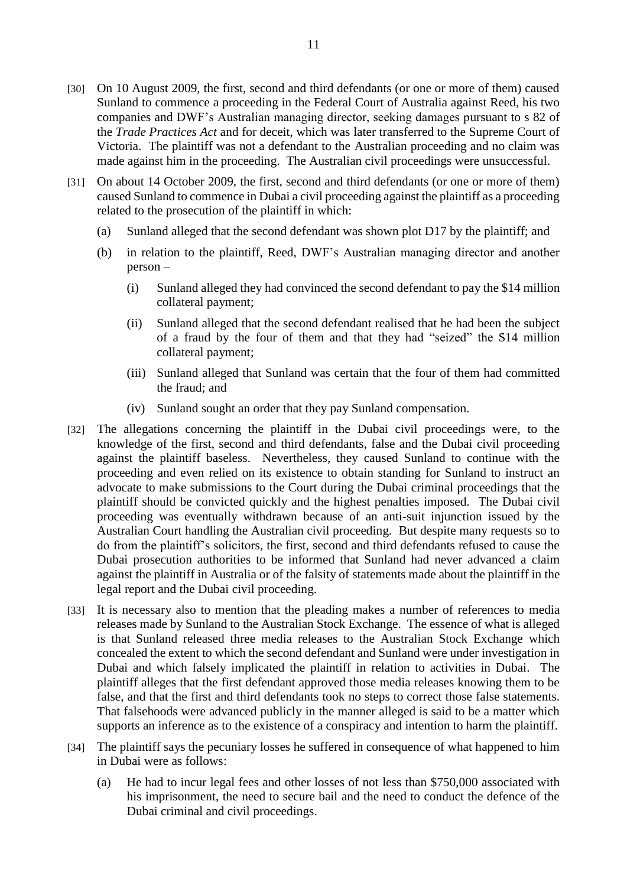- [30] On 10 August 2009, the first, second and third defendants (or one or more of them) caused Sunland to commence a proceeding in the Federal Court of Australia against Reed, his two companies and DWF's Australian managing director, seeking damages pursuant to s 82 of the *Trade Practices Act* and for deceit, which was later transferred to the Supreme Court of Victoria. The plaintiff was not a defendant to the Australian proceeding and no claim was made against him in the proceeding. The Australian civil proceedings were unsuccessful.
- [31] On about 14 October 2009, the first, second and third defendants (or one or more of them) caused Sunland to commence in Dubai a civil proceeding against the plaintiff as a proceeding related to the prosecution of the plaintiff in which:
	- (a) Sunland alleged that the second defendant was shown plot D17 by the plaintiff; and
	- (b) in relation to the plaintiff, Reed, DWF's Australian managing director and another person –
		- (i) Sunland alleged they had convinced the second defendant to pay the \$14 million collateral payment;
		- (ii) Sunland alleged that the second defendant realised that he had been the subject of a fraud by the four of them and that they had "seized" the \$14 million collateral payment;
		- (iii) Sunland alleged that Sunland was certain that the four of them had committed the fraud; and
		- (iv) Sunland sought an order that they pay Sunland compensation.
- [32] The allegations concerning the plaintiff in the Dubai civil proceedings were, to the knowledge of the first, second and third defendants, false and the Dubai civil proceeding against the plaintiff baseless. Nevertheless, they caused Sunland to continue with the proceeding and even relied on its existence to obtain standing for Sunland to instruct an advocate to make submissions to the Court during the Dubai criminal proceedings that the plaintiff should be convicted quickly and the highest penalties imposed. The Dubai civil proceeding was eventually withdrawn because of an anti-suit injunction issued by the Australian Court handling the Australian civil proceeding. But despite many requests so to do from the plaintiff's solicitors, the first, second and third defendants refused to cause the Dubai prosecution authorities to be informed that Sunland had never advanced a claim against the plaintiff in Australia or of the falsity of statements made about the plaintiff in the legal report and the Dubai civil proceeding.
- [33] It is necessary also to mention that the pleading makes a number of references to media releases made by Sunland to the Australian Stock Exchange. The essence of what is alleged is that Sunland released three media releases to the Australian Stock Exchange which concealed the extent to which the second defendant and Sunland were under investigation in Dubai and which falsely implicated the plaintiff in relation to activities in Dubai. The plaintiff alleges that the first defendant approved those media releases knowing them to be false, and that the first and third defendants took no steps to correct those false statements. That falsehoods were advanced publicly in the manner alleged is said to be a matter which supports an inference as to the existence of a conspiracy and intention to harm the plaintiff.
- [34] The plaintiff says the pecuniary losses he suffered in consequence of what happened to him in Dubai were as follows:
	- (a) He had to incur legal fees and other losses of not less than \$750,000 associated with his imprisonment, the need to secure bail and the need to conduct the defence of the Dubai criminal and civil proceedings.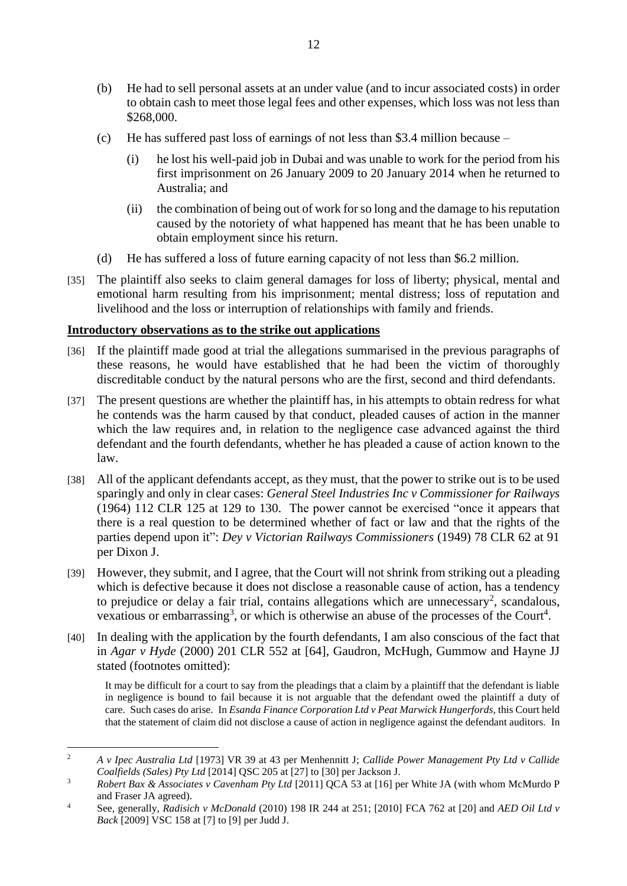- (b) He had to sell personal assets at an under value (and to incur associated costs) in order to obtain cash to meet those legal fees and other expenses, which loss was not less than \$268,000.
- (c) He has suffered past loss of earnings of not less than \$3.4 million because
	- (i) he lost his well-paid job in Dubai and was unable to work for the period from his first imprisonment on 26 January 2009 to 20 January 2014 when he returned to Australia; and
	- (ii) the combination of being out of work for so long and the damage to his reputation caused by the notoriety of what happened has meant that he has been unable to obtain employment since his return.
- (d) He has suffered a loss of future earning capacity of not less than \$6.2 million.
- [35] The plaintiff also seeks to claim general damages for loss of liberty; physical, mental and emotional harm resulting from his imprisonment; mental distress; loss of reputation and livelihood and the loss or interruption of relationships with family and friends.

## **Introductory observations as to the strike out applications**

- [36] If the plaintiff made good at trial the allegations summarised in the previous paragraphs of these reasons, he would have established that he had been the victim of thoroughly discreditable conduct by the natural persons who are the first, second and third defendants.
- [37] The present questions are whether the plaintiff has, in his attempts to obtain redress for what he contends was the harm caused by that conduct, pleaded causes of action in the manner which the law requires and, in relation to the negligence case advanced against the third defendant and the fourth defendants, whether he has pleaded a cause of action known to the law.
- [38] All of the applicant defendants accept, as they must, that the power to strike out is to be used sparingly and only in clear cases: *General Steel Industries Inc v Commissioner for Railways* (1964) 112 CLR 125 at 129 to 130. The power cannot be exercised "once it appears that there is a real question to be determined whether of fact or law and that the rights of the parties depend upon it": *Dey v Victorian Railways Commissioners* (1949) 78 CLR 62 at 91 per Dixon J.
- [39] However, they submit, and I agree, that the Court will not shrink from striking out a pleading which is defective because it does not disclose a reasonable cause of action, has a tendency to prejudice or delay a fair trial, contains allegations which are unnecessary<sup>2</sup>, scandalous, vexatious or embarrassing<sup>3</sup>, or which is otherwise an abuse of the processes of the Court<sup>4</sup>.
- [40] In dealing with the application by the fourth defendants, I am also conscious of the fact that in *Agar v Hyde* (2000) 201 CLR 552 at [64], Gaudron, McHugh, Gummow and Hayne JJ stated (footnotes omitted):

It may be difficult for a court to say from the pleadings that a claim by a plaintiff that the defendant is liable in negligence is bound to fail because it is not arguable that the defendant owed the plaintiff a duty of care. Such cases do arise. In *Esanda Finance Corporation Ltd v Peat Marwick Hungerfords*, this Court held that the statement of claim did not disclose a cause of action in negligence against the defendant auditors. In

 $\overline{a}$ <sup>2</sup> *A v Ipec Australia Ltd* [1973] VR 39 at 43 per Menhennitt J; *Callide Power Management Pty Ltd v Callide Coalfields (Sales) Pty Ltd* [2014] QSC 205 at [27] to [30] per Jackson J.

<sup>3</sup> *Robert Bax & Associates v Cavenham Pty Ltd* [2011] QCA 53 at [16] per White JA (with whom McMurdo P and Fraser JA agreed).

<sup>4</sup> See, generally, *Radisich v McDonald* (2010) 198 IR 244 at 251; [2010] FCA 762 at [20] and *AED Oil Ltd v Back* [2009] VSC 158 at [7] to [9] per Judd J.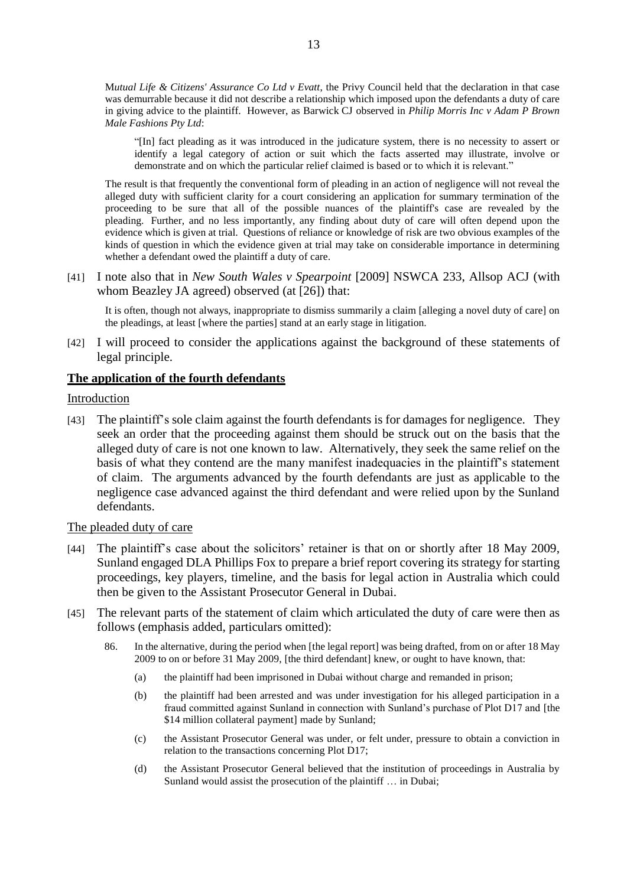M*utual Life & Citizens' Assurance Co Ltd v Evatt*, the Privy Council held that the declaration in that case was demurrable because it did not describe a relationship which imposed upon the defendants a duty of care in giving advice to the plaintiff. However, as Barwick CJ observed in *Philip Morris Inc v Adam P Brown Male Fashions Pty Ltd*:

"[In] fact pleading as it was introduced in the judicature system, there is no necessity to assert or identify a legal category of action or suit which the facts asserted may illustrate, involve or demonstrate and on which the particular relief claimed is based or to which it is relevant."

The result is that frequently the conventional form of pleading in an action of negligence will not reveal the alleged duty with sufficient clarity for a court considering an application for summary termination of the proceeding to be sure that all of the possible nuances of the plaintiff's case are revealed by the pleading. Further, and no less importantly, any finding about duty of care will often depend upon the evidence which is given at trial. Questions of reliance or knowledge of risk are two obvious examples of the kinds of question in which the evidence given at trial may take on considerable importance in determining whether a defendant owed the plaintiff a duty of care.

[41] I note also that in *New South Wales v Spearpoint* [2009] NSWCA 233, Allsop ACJ (with whom Beazley JA agreed) observed (at [26]) that:

It is often, though not always, inappropriate to dismiss summarily a claim [alleging a novel duty of care] on the pleadings, at least [where the parties] stand at an early stage in litigation.

[42] I will proceed to consider the applications against the background of these statements of legal principle.

## **The application of the fourth defendants**

#### Introduction

[43] The plaintiff's sole claim against the fourth defendants is for damages for negligence. They seek an order that the proceeding against them should be struck out on the basis that the alleged duty of care is not one known to law. Alternatively, they seek the same relief on the basis of what they contend are the many manifest inadequacies in the plaintiff's statement of claim. The arguments advanced by the fourth defendants are just as applicable to the negligence case advanced against the third defendant and were relied upon by the Sunland defendants.

#### The pleaded duty of care

- [44] The plaintiff's case about the solicitors' retainer is that on or shortly after 18 May 2009, Sunland engaged DLA Phillips Fox to prepare a brief report covering its strategy for starting proceedings, key players, timeline, and the basis for legal action in Australia which could then be given to the Assistant Prosecutor General in Dubai.
- [45] The relevant parts of the statement of claim which articulated the duty of care were then as follows (emphasis added, particulars omitted):
	- 86. In the alternative, during the period when [the legal report] was being drafted, from on or after 18 May 2009 to on or before 31 May 2009, [the third defendant] knew, or ought to have known, that:
		- (a) the plaintiff had been imprisoned in Dubai without charge and remanded in prison;
		- (b) the plaintiff had been arrested and was under investigation for his alleged participation in a fraud committed against Sunland in connection with Sunland's purchase of Plot D17 and [the \$14 million collateral payment] made by Sunland;
		- (c) the Assistant Prosecutor General was under, or felt under, pressure to obtain a conviction in relation to the transactions concerning Plot D17;
		- (d) the Assistant Prosecutor General believed that the institution of proceedings in Australia by Sunland would assist the prosecution of the plaintiff ... in Dubai;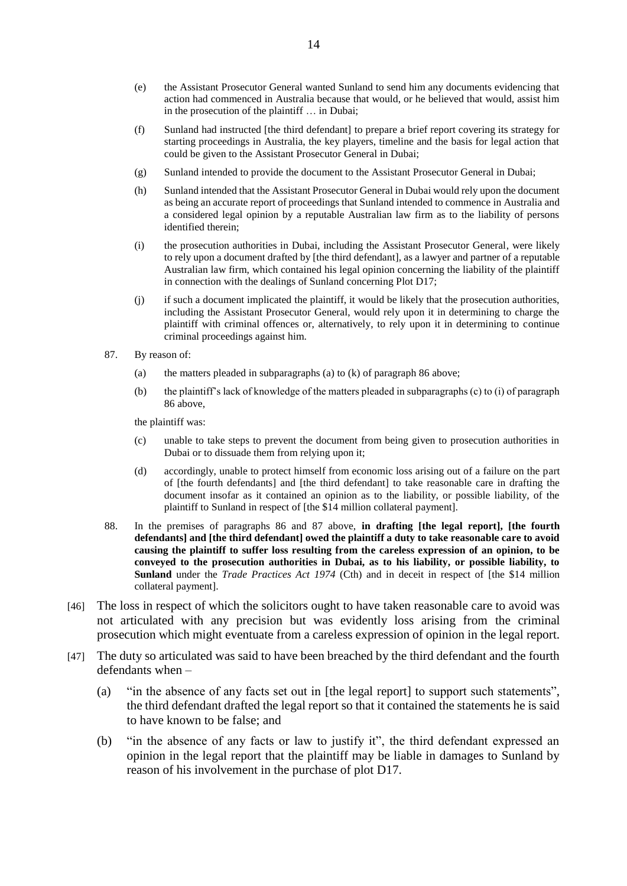- (e) the Assistant Prosecutor General wanted Sunland to send him any documents evidencing that action had commenced in Australia because that would, or he believed that would, assist him in the prosecution of the plaintiff … in Dubai;
- (f) Sunland had instructed [the third defendant] to prepare a brief report covering its strategy for starting proceedings in Australia, the key players, timeline and the basis for legal action that could be given to the Assistant Prosecutor General in Dubai;
- (g) Sunland intended to provide the document to the Assistant Prosecutor General in Dubai;
- (h) Sunland intended that the Assistant Prosecutor General in Dubai would rely upon the document as being an accurate report of proceedings that Sunland intended to commence in Australia and a considered legal opinion by a reputable Australian law firm as to the liability of persons identified therein;
- (i) the prosecution authorities in Dubai, including the Assistant Prosecutor General, were likely to rely upon a document drafted by [the third defendant], as a lawyer and partner of a reputable Australian law firm, which contained his legal opinion concerning the liability of the plaintiff in connection with the dealings of Sunland concerning Plot D17;
- (j) if such a document implicated the plaintiff, it would be likely that the prosecution authorities, including the Assistant Prosecutor General, would rely upon it in determining to charge the plaintiff with criminal offences or, alternatively, to rely upon it in determining to continue criminal proceedings against him.
- 87. By reason of:
	- (a) the matters pleaded in subparagraphs (a) to  $(k)$  of paragraph 86 above;
	- (b) the plaintiff's lack of knowledge of the matters pleaded in subparagraphs (c) to (i) of paragraph 86 above,

the plaintiff was:

- (c) unable to take steps to prevent the document from being given to prosecution authorities in Dubai or to dissuade them from relying upon it;
- (d) accordingly, unable to protect himself from economic loss arising out of a failure on the part of [the fourth defendants] and [the third defendant] to take reasonable care in drafting the document insofar as it contained an opinion as to the liability, or possible liability, of the plaintiff to Sunland in respect of [the \$14 million collateral payment].
- 88. In the premises of paragraphs 86 and 87 above, **in drafting [the legal report], [the fourth defendants] and [the third defendant] owed the plaintiff a duty to take reasonable care to avoid causing the plaintiff to suffer loss resulting from the careless expression of an opinion, to be conveyed to the prosecution authorities in Dubai, as to his liability, or possible liability, to Sunland** under the *Trade Practices Act 1974* (Cth) and in deceit in respect of [the \$14 million collateral payment].
- [46] The loss in respect of which the solicitors ought to have taken reasonable care to avoid was not articulated with any precision but was evidently loss arising from the criminal prosecution which might eventuate from a careless expression of opinion in the legal report.
- [47] The duty so articulated was said to have been breached by the third defendant and the fourth defendants when –
	- (a) "in the absence of any facts set out in [the legal report] to support such statements", the third defendant drafted the legal report so that it contained the statements he is said to have known to be false; and
	- (b) "in the absence of any facts or law to justify it", the third defendant expressed an opinion in the legal report that the plaintiff may be liable in damages to Sunland by reason of his involvement in the purchase of plot D17.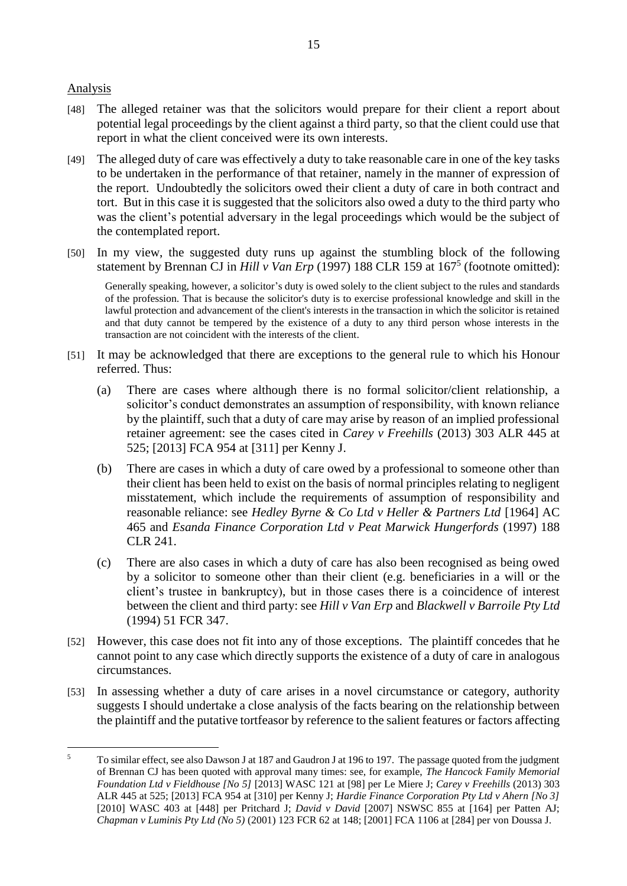## Analysis

 $\overline{a}$ 

- [48] The alleged retainer was that the solicitors would prepare for their client a report about potential legal proceedings by the client against a third party, so that the client could use that report in what the client conceived were its own interests.
- [49] The alleged duty of care was effectively a duty to take reasonable care in one of the key tasks to be undertaken in the performance of that retainer, namely in the manner of expression of the report. Undoubtedly the solicitors owed their client a duty of care in both contract and tort. But in this case it is suggested that the solicitors also owed a duty to the third party who was the client's potential adversary in the legal proceedings which would be the subject of the contemplated report.
- [50] In my view, the suggested duty runs up against the stumbling block of the following statement by Brennan CJ in *Hill v Van Erp* (1997) 188 CLR 159 at 167<sup>5</sup> (footnote omitted):

Generally speaking, however, a solicitor's duty is owed solely to the client subject to the rules and standards of the profession. That is because the solicitor's duty is to exercise professional knowledge and skill in the lawful protection and advancement of the client's interests in the transaction in which the solicitor is retained and that duty cannot be tempered by the existence of a duty to any third person whose interests in the transaction are not coincident with the interests of the client.

- [51] It may be acknowledged that there are exceptions to the general rule to which his Honour referred. Thus:
	- (a) There are cases where although there is no formal solicitor/client relationship, a solicitor's conduct demonstrates an assumption of responsibility, with known reliance by the plaintiff, such that a duty of care may arise by reason of an implied professional retainer agreement: see the cases cited in *Carey v Freehills* (2013) 303 ALR 445 at 525; [2013] FCA 954 at [311] per Kenny J.
	- (b) There are cases in which a duty of care owed by a professional to someone other than their client has been held to exist on the basis of normal principles relating to negligent misstatement, which include the requirements of assumption of responsibility and reasonable reliance: see *Hedley Byrne & Co Ltd v Heller & Partners Ltd* [1964] AC 465 and *Esanda Finance Corporation Ltd v Peat Marwick Hungerfords* (1997) 188 CLR 241.
	- (c) There are also cases in which a duty of care has also been recognised as being owed by a solicitor to someone other than their client (e.g. beneficiaries in a will or the client's trustee in bankruptcy), but in those cases there is a coincidence of interest between the client and third party: see *Hill v Van Erp* and *Blackwell v Barroile Pty Ltd*  (1994) 51 FCR 347.
- [52] However, this case does not fit into any of those exceptions. The plaintiff concedes that he cannot point to any case which directly supports the existence of a duty of care in analogous circumstances.
- [53] In assessing whether a duty of care arises in a novel circumstance or category, authority suggests I should undertake a close analysis of the facts bearing on the relationship between the plaintiff and the putative tortfeasor by reference to the salient features or factors affecting

<sup>&</sup>lt;sup>5</sup> To similar effect, see also Dawson J at 187 and Gaudron J at 196 to 197. The passage quoted from the judgment of Brennan CJ has been quoted with approval many times: see, for example, *The Hancock Family Memorial Foundation Ltd v Fieldhouse [No 5]* [2013] WASC 121 at [98] per Le Miere J; *Carey v Freehills* (2013) 303 ALR 445 at 525; [2013] FCA 954 at [310] per Kenny J; *Hardie Finance Corporation Pty Ltd v Ahern [No 3]* [2010] WASC 403 at [448] per Pritchard J; *David v David* [2007] NSWSC 855 at [164] per Patten AJ; *Chapman v Luminis Pty Ltd (No 5)* (2001) 123 FCR 62 at 148; [2001] FCA 1106 at [284] per von Doussa J.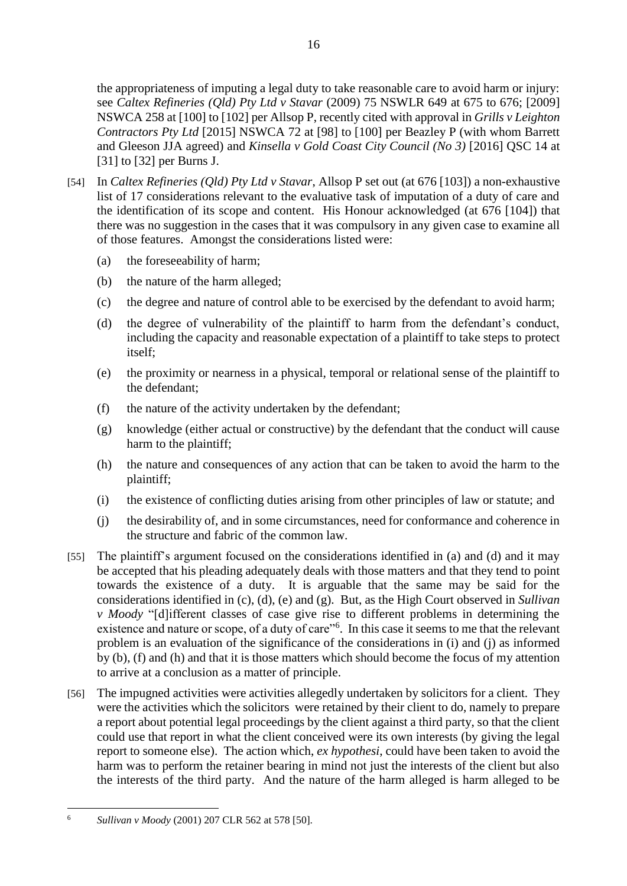the appropriateness of imputing a legal duty to take reasonable care to avoid harm or injury: see *Caltex Refineries (Qld) Pty Ltd v Stavar* (2009) 75 NSWLR 649 at 675 to 676; [2009] NSWCA 258 at [100] to [102] per Allsop P, recently cited with approval in *Grills v Leighton Contractors Pty Ltd* [2015] NSWCA 72 at [98] to [100] per Beazley P (with whom Barrett and Gleeson JJA agreed) and *Kinsella v Gold Coast City Council (No 3)* [2016] QSC 14 at [31] to [32] per Burns J.

- [54] In *Caltex Refineries (Qld) Pty Ltd v Stavar*, Allsop P set out (at 676 [103]) a non-exhaustive list of 17 considerations relevant to the evaluative task of imputation of a duty of care and the identification of its scope and content. His Honour acknowledged (at 676 [104]) that there was no suggestion in the cases that it was compulsory in any given case to examine all of those features. Amongst the considerations listed were:
	- (a) the foreseeability of harm;
	- (b) the nature of the harm alleged;
	- (c) the degree and nature of control able to be exercised by the defendant to avoid harm;
	- (d) the degree of vulnerability of the plaintiff to harm from the defendant's conduct, including the capacity and reasonable expectation of a plaintiff to take steps to protect itself;
	- (e) the proximity or nearness in a physical, temporal or relational sense of the plaintiff to the defendant;
	- (f) the nature of the activity undertaken by the defendant;
	- (g) knowledge (either actual or constructive) by the defendant that the conduct will cause harm to the plaintiff;
	- (h) the nature and consequences of any action that can be taken to avoid the harm to the plaintiff;
	- (i) the existence of conflicting duties arising from other principles of law or statute; and
	- (j) the desirability of, and in some circumstances, need for conformance and coherence in the structure and fabric of the common law.
- [55] The plaintiff's argument focused on the considerations identified in (a) and (d) and it may be accepted that his pleading adequately deals with those matters and that they tend to point towards the existence of a duty. It is arguable that the same may be said for the considerations identified in (c), (d), (e) and (g). But, as the High Court observed in *Sullivan v Moody* "[d]ifferent classes of case give rise to different problems in determining the existence and nature or scope, of a duty of care"<sup>6</sup>. In this case it seems to me that the relevant problem is an evaluation of the significance of the considerations in (i) and (j) as informed by (b), (f) and (h) and that it is those matters which should become the focus of my attention to arrive at a conclusion as a matter of principle.
- [56] The impugned activities were activities allegedly undertaken by solicitors for a client. They were the activities which the solicitors were retained by their client to do, namely to prepare a report about potential legal proceedings by the client against a third party, so that the client could use that report in what the client conceived were its own interests (by giving the legal report to someone else). The action which, *ex hypothesi*, could have been taken to avoid the harm was to perform the retainer bearing in mind not just the interests of the client but also the interests of the third party. And the nature of the harm alleged is harm alleged to be

 $\overline{a}$ <sup>6</sup> *Sullivan v Moody* (2001) 207 CLR 562 at 578 [50].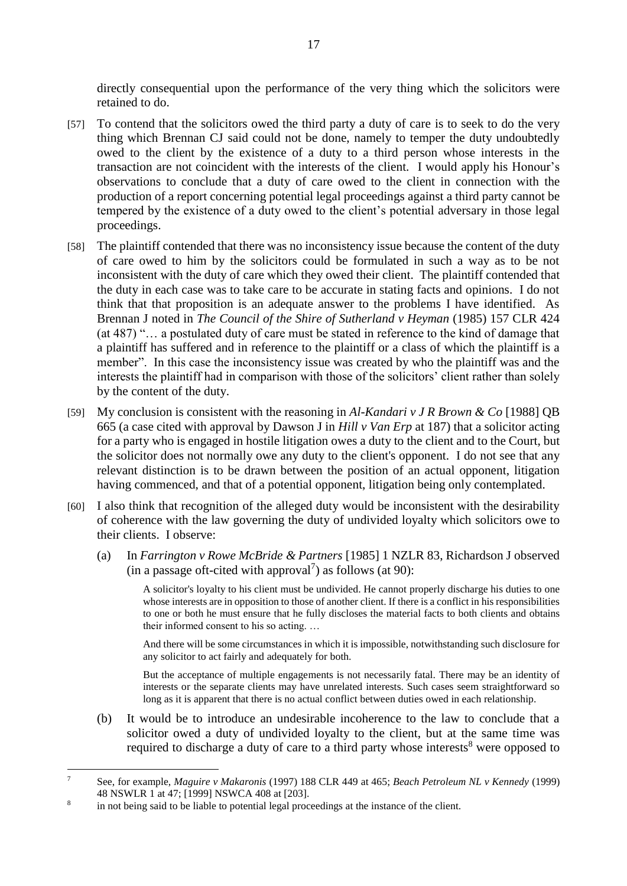directly consequential upon the performance of the very thing which the solicitors were retained to do.

- [57] To contend that the solicitors owed the third party a duty of care is to seek to do the very thing which Brennan CJ said could not be done, namely to temper the duty undoubtedly owed to the client by the existence of a duty to a third person whose interests in the transaction are not coincident with the interests of the client. I would apply his Honour's observations to conclude that a duty of care owed to the client in connection with the production of a report concerning potential legal proceedings against a third party cannot be tempered by the existence of a duty owed to the client's potential adversary in those legal proceedings.
- [58] The plaintiff contended that there was no inconsistency issue because the content of the duty of care owed to him by the solicitors could be formulated in such a way as to be not inconsistent with the duty of care which they owed their client. The plaintiff contended that the duty in each case was to take care to be accurate in stating facts and opinions. I do not think that that proposition is an adequate answer to the problems I have identified. As Brennan J noted in *The Council of the Shire of Sutherland v Heyman* (1985) 157 CLR 424 (at 487) "… a postulated duty of care must be stated in reference to the kind of damage that a plaintiff has suffered and in reference to the plaintiff or a class of which the plaintiff is a member". In this case the inconsistency issue was created by who the plaintiff was and the interests the plaintiff had in comparison with those of the solicitors' client rather than solely by the content of the duty.
- [59] My conclusion is consistent with the reasoning in *Al-Kandari v J R Brown & Co* [1988] QB 665 (a case cited with approval by Dawson J in *Hill v Van Erp* at 187) that a solicitor acting for a party who is engaged in hostile litigation owes a duty to the client and to the Court, but the solicitor does not normally owe any duty to the client's opponent. I do not see that any relevant distinction is to be drawn between the position of an actual opponent, litigation having commenced, and that of a potential opponent, litigation being only contemplated.
- [60] I also think that recognition of the alleged duty would be inconsistent with the desirability of coherence with the law governing the duty of undivided loyalty which solicitors owe to their clients. I observe:
	- (a) In *Farrington v Rowe McBride & Partners* [1985] 1 NZLR 83, Richardson J observed (in a passage oft-cited with approval<sup>7</sup>) as follows (at 90):

A solicitor's loyalty to his client must be undivided. He cannot properly discharge his duties to one whose interests are in opposition to those of another client. If there is a conflict in his responsibilities to one or both he must ensure that he fully discloses the material facts to both clients and obtains their informed consent to his so acting. …

And there will be some circumstances in which it is impossible, notwithstanding such disclosure for any solicitor to act fairly and adequately for both.

But the acceptance of multiple engagements is not necessarily fatal. There may be an identity of interests or the separate clients may have unrelated interests. Such cases seem straightforward so long as it is apparent that there is no actual conflict between duties owed in each relationship.

(b) It would be to introduce an undesirable incoherence to the law to conclude that a solicitor owed a duty of undivided loyalty to the client, but at the same time was required to discharge a duty of care to a third party whose interests<sup>8</sup> were opposed to

 $\overline{a}$ 

<sup>7</sup> See, for example, *Maguire v Makaronis* (1997) 188 CLR 449 at 465; *Beach Petroleum NL v Kennedy* (1999) 48 NSWLR 1 at 47; [1999] NSWCA 408 at [203].

<sup>8</sup> in not being said to be liable to potential legal proceedings at the instance of the client.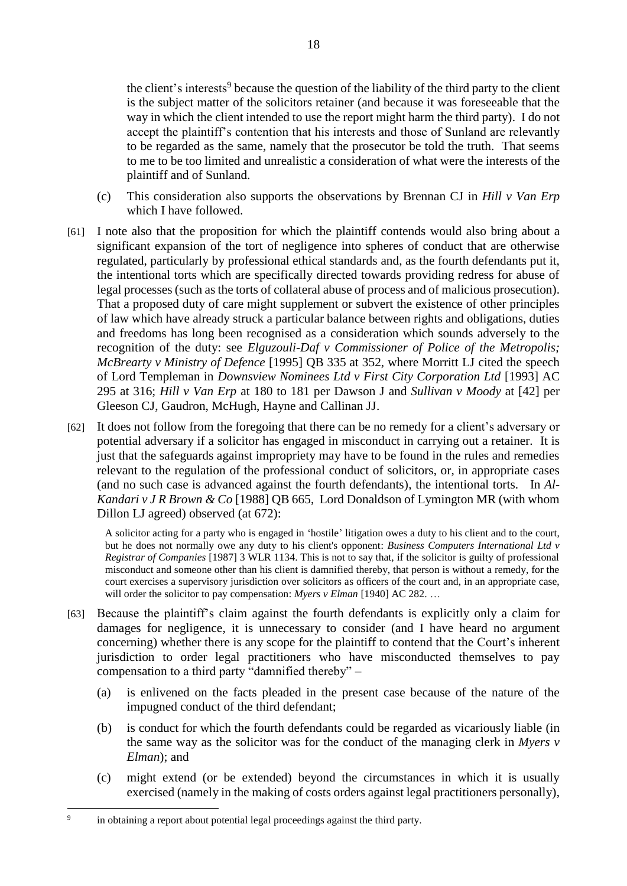the client's interests<sup>9</sup> because the question of the liability of the third party to the client is the subject matter of the solicitors retainer (and because it was foreseeable that the way in which the client intended to use the report might harm the third party). I do not accept the plaintiff's contention that his interests and those of Sunland are relevantly to be regarded as the same, namely that the prosecutor be told the truth. That seems to me to be too limited and unrealistic a consideration of what were the interests of the plaintiff and of Sunland.

- (c) This consideration also supports the observations by Brennan CJ in *Hill v Van Erp* which I have followed.
- [61] I note also that the proposition for which the plaintiff contends would also bring about a significant expansion of the tort of negligence into spheres of conduct that are otherwise regulated, particularly by professional ethical standards and, as the fourth defendants put it, the intentional torts which are specifically directed towards providing redress for abuse of legal processes (such as the torts of collateral abuse of process and of malicious prosecution). That a proposed duty of care might supplement or subvert the existence of other principles of law which have already struck a particular balance between rights and obligations, duties and freedoms has long been recognised as a consideration which sounds adversely to the recognition of the duty: see *Elguzouli-Daf v Commissioner of Police of the Metropolis; McBrearty v Ministry of Defence* [1995] QB 335 at 352, where Morritt LJ cited the speech of Lord Templeman in *Downsview Nominees Ltd v First City Corporation Ltd* [1993] AC 295 at 316; *Hill v Van Erp* at 180 to 181 per Dawson J and *Sullivan v Moody* at [42] per Gleeson CJ, Gaudron, McHugh, Hayne and Callinan JJ.
- [62] It does not follow from the foregoing that there can be no remedy for a client's adversary or potential adversary if a solicitor has engaged in misconduct in carrying out a retainer. It is just that the safeguards against impropriety may have to be found in the rules and remedies relevant to the regulation of the professional conduct of solicitors, or, in appropriate cases (and no such case is advanced against the fourth defendants), the intentional torts. In *Al-Kandari v J R Brown & Co* [1988] QB 665, Lord Donaldson of Lymington MR (with whom Dillon LJ agreed) observed (at 672):

A solicitor acting for a party who is engaged in 'hostile' litigation owes a duty to his client and to the court, but he does not normally owe any duty to his client's opponent: *Business Computers International Ltd v Registrar of Companies* [1987] 3 WLR 1134. This is not to say that, if the solicitor is guilty of professional misconduct and someone other than his client is damnified thereby, that person is without a remedy, for the court exercises a supervisory jurisdiction over solicitors as officers of the court and, in an appropriate case, will order the solicitor to pay compensation: *Myers v Elman* [1940] AC 282. ...

- [63] Because the plaintiff's claim against the fourth defendants is explicitly only a claim for damages for negligence, it is unnecessary to consider (and I have heard no argument concerning) whether there is any scope for the plaintiff to contend that the Court's inherent jurisdiction to order legal practitioners who have misconducted themselves to pay compensation to a third party "damnified thereby" –
	- (a) is enlivened on the facts pleaded in the present case because of the nature of the impugned conduct of the third defendant;
	- (b) is conduct for which the fourth defendants could be regarded as vicariously liable (in the same way as the solicitor was for the conduct of the managing clerk in *Myers v Elman*); and
	- (c) might extend (or be extended) beyond the circumstances in which it is usually exercised (namely in the making of costs orders against legal practitioners personally),

 $\overline{a}$ 

<sup>9</sup> in obtaining a report about potential legal proceedings against the third party.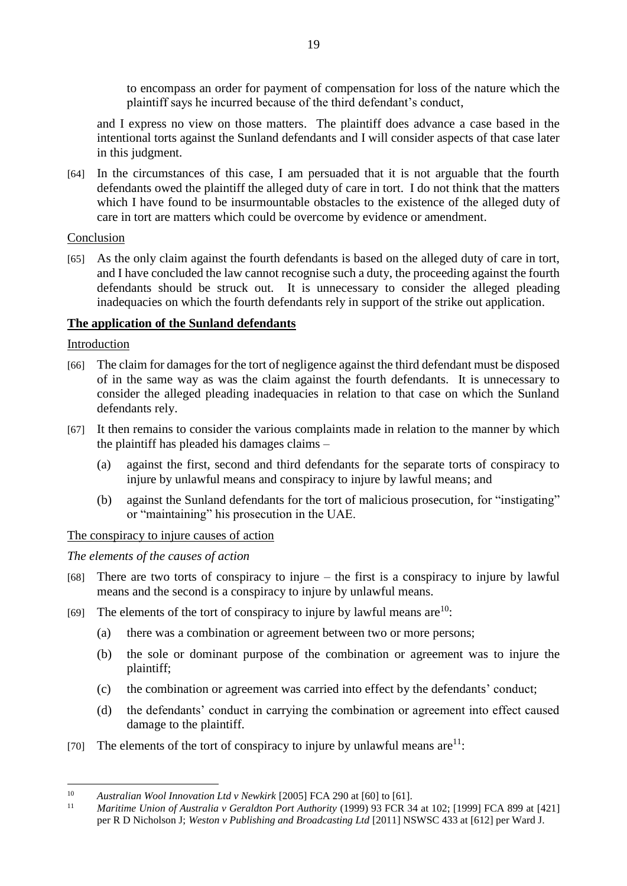to encompass an order for payment of compensation for loss of the nature which the plaintiff says he incurred because of the third defendant's conduct,

and I express no view on those matters. The plaintiff does advance a case based in the intentional torts against the Sunland defendants and I will consider aspects of that case later in this judgment.

[64] In the circumstances of this case, I am persuaded that it is not arguable that the fourth defendants owed the plaintiff the alleged duty of care in tort. I do not think that the matters which I have found to be insurmountable obstacles to the existence of the alleged duty of care in tort are matters which could be overcome by evidence or amendment.

## Conclusion

[65] As the only claim against the fourth defendants is based on the alleged duty of care in tort, and I have concluded the law cannot recognise such a duty, the proceeding against the fourth defendants should be struck out. It is unnecessary to consider the alleged pleading inadequacies on which the fourth defendants rely in support of the strike out application.

# **The application of the Sunland defendants**

## Introduction

- [66] The claim for damages for the tort of negligence against the third defendant must be disposed of in the same way as was the claim against the fourth defendants. It is unnecessary to consider the alleged pleading inadequacies in relation to that case on which the Sunland defendants rely.
- [67] It then remains to consider the various complaints made in relation to the manner by which the plaintiff has pleaded his damages claims –
	- (a) against the first, second and third defendants for the separate torts of conspiracy to injure by unlawful means and conspiracy to injure by lawful means; and
	- (b) against the Sunland defendants for the tort of malicious prosecution, for "instigating" or "maintaining" his prosecution in the UAE.

## The conspiracy to injure causes of action

## *The elements of the causes of action*

- [68] There are two torts of conspiracy to injure the first is a conspiracy to injure by lawful means and the second is a conspiracy to injure by unlawful means.
- [69] The elements of the tort of conspiracy to injure by lawful means are  $10$ :
	- (a) there was a combination or agreement between two or more persons;
	- (b) the sole or dominant purpose of the combination or agreement was to injure the plaintiff;
	- (c) the combination or agreement was carried into effect by the defendants' conduct;
	- (d) the defendants' conduct in carrying the combination or agreement into effect caused damage to the plaintiff.
- [70] The elements of the tort of conspiracy to injure by unlawful means  $are^{11}$ :

 $\overline{a}$ <sup>10</sup> *Australian Wool Innovation Ltd v Newkirk* [2005] FCA 290 at [60] to [61].

<sup>11</sup> *Maritime Union of Australia v Geraldton Port Authority* (1999) 93 FCR 34 at 102; [1999] FCA 899 at [421] per R D Nicholson J; *Weston v Publishing and Broadcasting Ltd* [2011] NSWSC 433 at [612] per Ward J.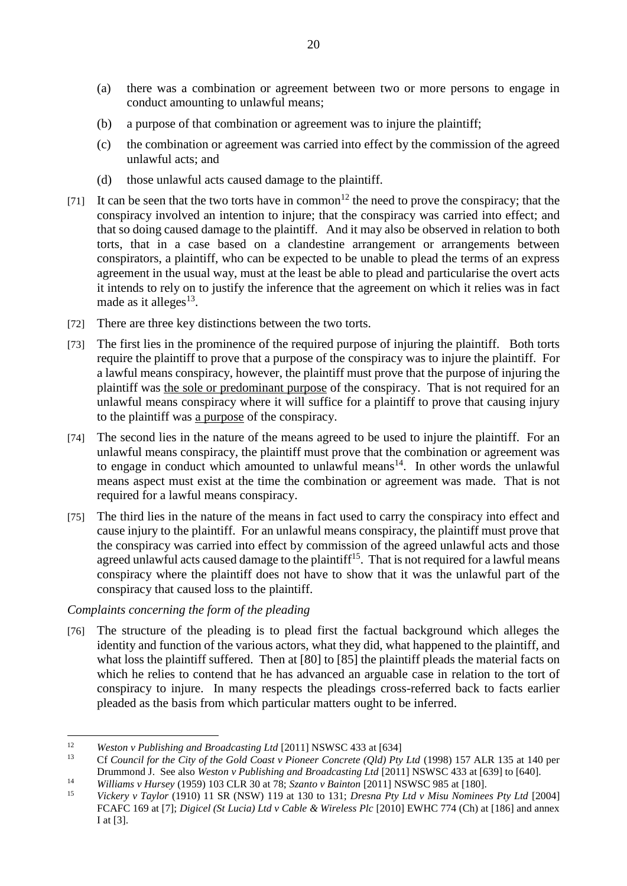- (a) there was a combination or agreement between two or more persons to engage in conduct amounting to unlawful means;
- (b) a purpose of that combination or agreement was to injure the plaintiff;
- (c) the combination or agreement was carried into effect by the commission of the agreed unlawful acts; and
- (d) those unlawful acts caused damage to the plaintiff.
- [71] It can be seen that the two torts have in common<sup>12</sup> the need to prove the conspiracy; that the conspiracy involved an intention to injure; that the conspiracy was carried into effect; and that so doing caused damage to the plaintiff. And it may also be observed in relation to both torts, that in a case based on a clandestine arrangement or arrangements between conspirators, a plaintiff, who can be expected to be unable to plead the terms of an express agreement in the usual way, must at the least be able to plead and particularise the overt acts it intends to rely on to justify the inference that the agreement on which it relies was in fact made as it alleges<sup>13</sup>.
- [72] There are three key distinctions between the two torts.
- [73] The first lies in the prominence of the required purpose of injuring the plaintiff. Both torts require the plaintiff to prove that a purpose of the conspiracy was to injure the plaintiff. For a lawful means conspiracy, however, the plaintiff must prove that the purpose of injuring the plaintiff was the sole or predominant purpose of the conspiracy. That is not required for an unlawful means conspiracy where it will suffice for a plaintiff to prove that causing injury to the plaintiff was a purpose of the conspiracy.
- [74] The second lies in the nature of the means agreed to be used to injure the plaintiff. For an unlawful means conspiracy, the plaintiff must prove that the combination or agreement was to engage in conduct which amounted to unlawful means<sup>14</sup>. In other words the unlawful means aspect must exist at the time the combination or agreement was made. That is not required for a lawful means conspiracy.
- [75] The third lies in the nature of the means in fact used to carry the conspiracy into effect and cause injury to the plaintiff. For an unlawful means conspiracy, the plaintiff must prove that the conspiracy was carried into effect by commission of the agreed unlawful acts and those agreed unlawful acts caused damage to the plaintiff<sup>15</sup>. That is not required for a lawful means conspiracy where the plaintiff does not have to show that it was the unlawful part of the conspiracy that caused loss to the plaintiff.

## *Complaints concerning the form of the pleading*

[76] The structure of the pleading is to plead first the factual background which alleges the identity and function of the various actors, what they did, what happened to the plaintiff, and what loss the plaintiff suffered. Then at [80] to [85] the plaintiff pleads the material facts on which he relies to contend that he has advanced an arguable case in relation to the tort of conspiracy to injure. In many respects the pleadings cross-referred back to facts earlier pleaded as the basis from which particular matters ought to be inferred.

 $\overline{a}$ <sup>12</sup> *Weston v Publishing and Broadcasting Ltd* [2011] NSWSC 433 at [634]

<sup>13</sup> Cf *Council for the City of the Gold Coast v Pioneer Concrete (Qld) Pty Ltd* (1998) 157 ALR 135 at 140 per Drummond J. See also *Weston v Publishing and Broadcasting Ltd* [2011] NSWSC 433 at [639] to [640].

<sup>14</sup> *Williams v Hursey* (1959) 103 CLR 30 at 78; *Szanto v Bainton* [2011] NSWSC 985 at [180].

<sup>15</sup> *Vickery v Taylor* (1910) 11 SR (NSW) 119 at 130 to 131; *Dresna Pty Ltd v Misu Nominees Pty Ltd* [2004] FCAFC 169 at [7]; *Digicel (St Lucia) Ltd v Cable & Wireless Plc* [2010] EWHC 774 (Ch) at [186] and annex I at [3].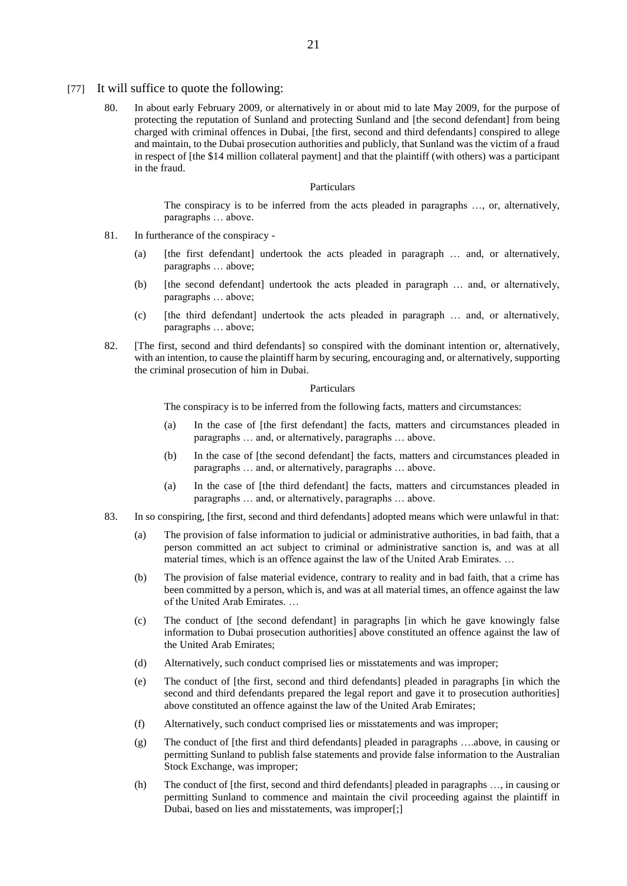- [77] It will suffice to quote the following:
	- 80. In about early February 2009, or alternatively in or about mid to late May 2009, for the purpose of protecting the reputation of Sunland and protecting Sunland and [the second defendant] from being charged with criminal offences in Dubai, [the first, second and third defendants] conspired to allege and maintain, to the Dubai prosecution authorities and publicly, that Sunland was the victim of a fraud in respect of [the \$14 million collateral payment] and that the plaintiff (with others) was a participant in the fraud.

#### Particulars

The conspiracy is to be inferred from the acts pleaded in paragraphs …, or, alternatively, paragraphs … above.

- 81. In furtherance of the conspiracy
	- (a) [the first defendant] undertook the acts pleaded in paragraph … and, or alternatively, paragraphs … above;
	- (b) [the second defendant] undertook the acts pleaded in paragraph … and, or alternatively, paragraphs … above;
	- (c) [the third defendant] undertook the acts pleaded in paragraph … and, or alternatively, paragraphs … above;
- 82. [The first, second and third defendants] so conspired with the dominant intention or, alternatively, with an intention, to cause the plaintiff harm by securing, encouraging and, or alternatively, supporting the criminal prosecution of him in Dubai.

#### Particulars

The conspiracy is to be inferred from the following facts, matters and circumstances:

- (a) In the case of [the first defendant] the facts, matters and circumstances pleaded in paragraphs … and, or alternatively, paragraphs … above.
- (b) In the case of [the second defendant] the facts, matters and circumstances pleaded in paragraphs … and, or alternatively, paragraphs … above.
- (a) In the case of [the third defendant] the facts, matters and circumstances pleaded in paragraphs … and, or alternatively, paragraphs … above.
- 83. In so conspiring, [the first, second and third defendants] adopted means which were unlawful in that:
	- (a) The provision of false information to judicial or administrative authorities, in bad faith, that a person committed an act subject to criminal or administrative sanction is, and was at all material times, which is an offence against the law of the United Arab Emirates. …
	- (b) The provision of false material evidence, contrary to reality and in bad faith, that a crime has been committed by a person, which is, and was at all material times, an offence against the law of the United Arab Emirates. …
	- (c) The conduct of [the second defendant] in paragraphs [in which he gave knowingly false information to Dubai prosecution authorities] above constituted an offence against the law of the United Arab Emirates;
	- (d) Alternatively, such conduct comprised lies or misstatements and was improper;
	- (e) The conduct of [the first, second and third defendants] pleaded in paragraphs [in which the second and third defendants prepared the legal report and gave it to prosecution authorities] above constituted an offence against the law of the United Arab Emirates;
	- (f) Alternatively, such conduct comprised lies or misstatements and was improper;
	- (g) The conduct of [the first and third defendants] pleaded in paragraphs ….above, in causing or permitting Sunland to publish false statements and provide false information to the Australian Stock Exchange, was improper;
	- (h) The conduct of [the first, second and third defendants] pleaded in paragraphs …, in causing or permitting Sunland to commence and maintain the civil proceeding against the plaintiff in Dubai, based on lies and misstatements, was improper[;]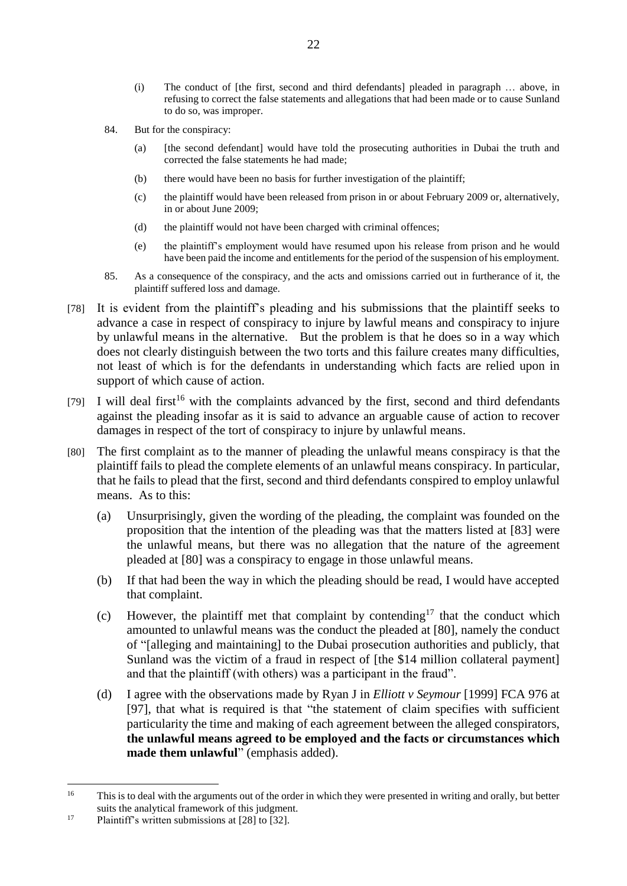- (i) The conduct of [the first, second and third defendants] pleaded in paragraph … above, in refusing to correct the false statements and allegations that had been made or to cause Sunland to do so, was improper.
- 84. But for the conspiracy:
	- (a) [the second defendant] would have told the prosecuting authorities in Dubai the truth and corrected the false statements he had made;
	- (b) there would have been no basis for further investigation of the plaintiff;
	- (c) the plaintiff would have been released from prison in or about February 2009 or, alternatively, in or about June 2009;
	- (d) the plaintiff would not have been charged with criminal offences;
	- (e) the plaintiff's employment would have resumed upon his release from prison and he would have been paid the income and entitlements for the period of the suspension of his employment.
- 85. As a consequence of the conspiracy, and the acts and omissions carried out in furtherance of it, the plaintiff suffered loss and damage.
- [78] It is evident from the plaintiff's pleading and his submissions that the plaintiff seeks to advance a case in respect of conspiracy to injure by lawful means and conspiracy to injure by unlawful means in the alternative. But the problem is that he does so in a way which does not clearly distinguish between the two torts and this failure creates many difficulties, not least of which is for the defendants in understanding which facts are relied upon in support of which cause of action.
- [79] I will deal first<sup>16</sup> with the complaints advanced by the first, second and third defendants against the pleading insofar as it is said to advance an arguable cause of action to recover damages in respect of the tort of conspiracy to injure by unlawful means.
- [80] The first complaint as to the manner of pleading the unlawful means conspiracy is that the plaintiff fails to plead the complete elements of an unlawful means conspiracy. In particular, that he fails to plead that the first, second and third defendants conspired to employ unlawful means. As to this:
	- (a) Unsurprisingly, given the wording of the pleading, the complaint was founded on the proposition that the intention of the pleading was that the matters listed at [83] were the unlawful means, but there was no allegation that the nature of the agreement pleaded at [80] was a conspiracy to engage in those unlawful means.
	- (b) If that had been the way in which the pleading should be read, I would have accepted that complaint.
	- (c) However, the plaintiff met that complaint by contending<sup>17</sup> that the conduct which amounted to unlawful means was the conduct the pleaded at [80], namely the conduct of "[alleging and maintaining] to the Dubai prosecution authorities and publicly, that Sunland was the victim of a fraud in respect of [the \$14 million collateral payment] and that the plaintiff (with others) was a participant in the fraud".
	- (d) I agree with the observations made by Ryan J in *Elliott v Seymour* [1999] FCA 976 at [97], that what is required is that "the statement of claim specifies with sufficient particularity the time and making of each agreement between the alleged conspirators, **the unlawful means agreed to be employed and the facts or circumstances which made them unlawful**" (emphasis added).

 $\overline{a}$ 

<sup>&</sup>lt;sup>16</sup> This is to deal with the arguments out of the order in which they were presented in writing and orally, but better suits the analytical framework of this judgment.

<sup>&</sup>lt;sup>17</sup> Plaintiff's written submissions at  $[28]$  to  $[32]$ .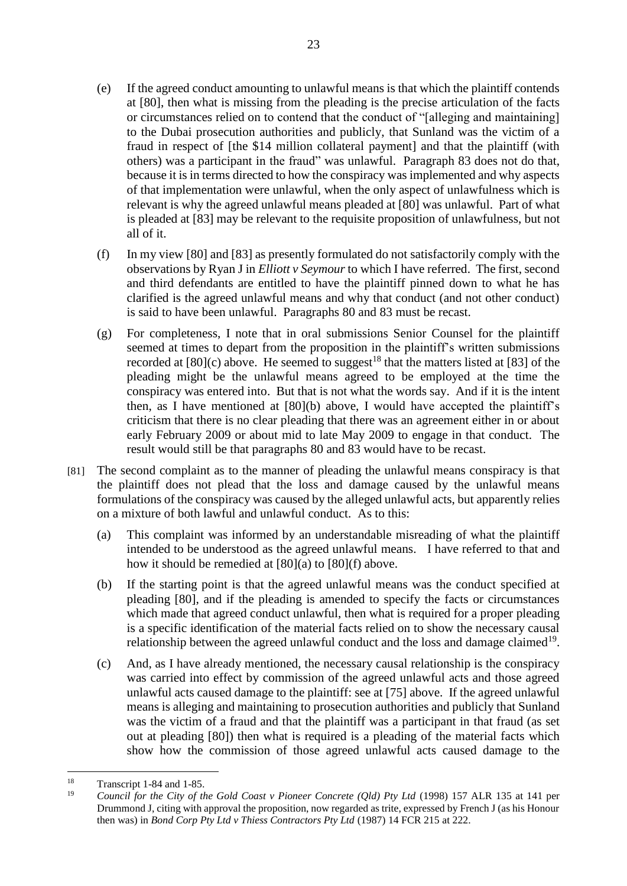- (e) If the agreed conduct amounting to unlawful means is that which the plaintiff contends at [80], then what is missing from the pleading is the precise articulation of the facts or circumstances relied on to contend that the conduct of "[alleging and maintaining] to the Dubai prosecution authorities and publicly, that Sunland was the victim of a fraud in respect of [the \$14 million collateral payment] and that the plaintiff (with others) was a participant in the fraud" was unlawful. Paragraph 83 does not do that, because it is in terms directed to how the conspiracy was implemented and why aspects of that implementation were unlawful, when the only aspect of unlawfulness which is relevant is why the agreed unlawful means pleaded at [80] was unlawful. Part of what is pleaded at [83] may be relevant to the requisite proposition of unlawfulness, but not all of it.
- (f) In my view [80] and [83] as presently formulated do not satisfactorily comply with the observations by Ryan J in *Elliott v Seymour* to which I have referred. The first, second and third defendants are entitled to have the plaintiff pinned down to what he has clarified is the agreed unlawful means and why that conduct (and not other conduct) is said to have been unlawful. Paragraphs 80 and 83 must be recast.
- (g) For completeness, I note that in oral submissions Senior Counsel for the plaintiff seemed at times to depart from the proposition in the plaintiff's written submissions recorded at  $[80]$ (c) above. He seemed to suggest<sup>18</sup> that the matters listed at  $[83]$  of the pleading might be the unlawful means agreed to be employed at the time the conspiracy was entered into. But that is not what the words say. And if it is the intent then, as I have mentioned at [80](b) above, I would have accepted the plaintiff's criticism that there is no clear pleading that there was an agreement either in or about early February 2009 or about mid to late May 2009 to engage in that conduct. The result would still be that paragraphs 80 and 83 would have to be recast.
- [81] The second complaint as to the manner of pleading the unlawful means conspiracy is that the plaintiff does not plead that the loss and damage caused by the unlawful means formulations of the conspiracy was caused by the alleged unlawful acts, but apparently relies on a mixture of both lawful and unlawful conduct. As to this:
	- (a) This complaint was informed by an understandable misreading of what the plaintiff intended to be understood as the agreed unlawful means. I have referred to that and how it should be remedied at [80](a) to [80](f) above.
	- (b) If the starting point is that the agreed unlawful means was the conduct specified at pleading [80], and if the pleading is amended to specify the facts or circumstances which made that agreed conduct unlawful, then what is required for a proper pleading is a specific identification of the material facts relied on to show the necessary causal relationship between the agreed unlawful conduct and the loss and damage claimed<sup>19</sup>.
	- (c) And, as I have already mentioned, the necessary causal relationship is the conspiracy was carried into effect by commission of the agreed unlawful acts and those agreed unlawful acts caused damage to the plaintiff: see at [75] above. If the agreed unlawful means is alleging and maintaining to prosecution authorities and publicly that Sunland was the victim of a fraud and that the plaintiff was a participant in that fraud (as set out at pleading [80]) then what is required is a pleading of the material facts which show how the commission of those agreed unlawful acts caused damage to the

 $\frac{1}{2}$ <sup>18</sup> Transcript 1-84 and 1-85.<br> $\frac{19}{2}$  Council for the City of the

<sup>19</sup> *Council for the City of the Gold Coast v Pioneer Concrete (Qld) Pty Ltd* (1998) 157 ALR 135 at 141 per Drummond J, citing with approval the proposition, now regarded as trite, expressed by French J (as his Honour then was) in *Bond Corp Pty Ltd v Thiess Contractors Pty Ltd* (1987) 14 FCR 215 at 222.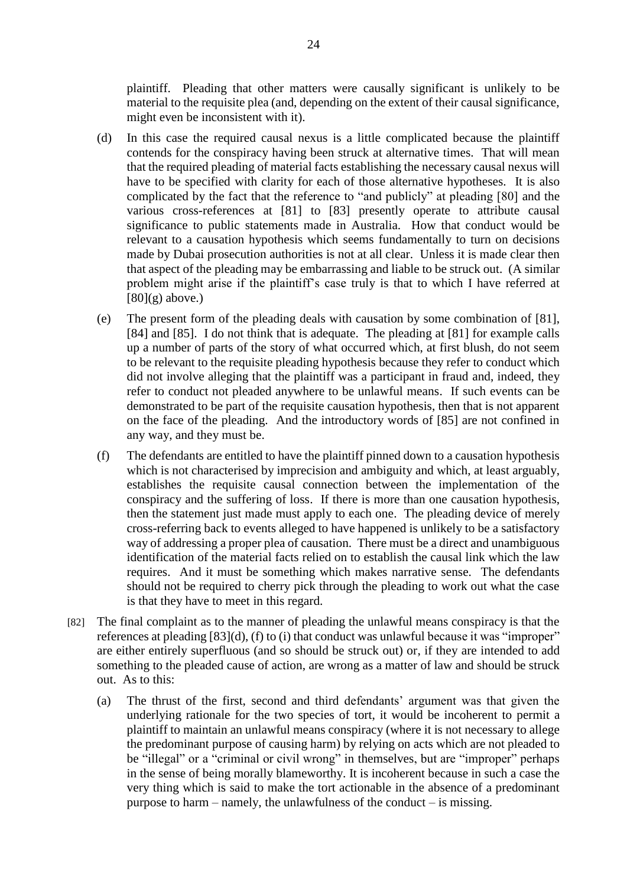plaintiff. Pleading that other matters were causally significant is unlikely to be material to the requisite plea (and, depending on the extent of their causal significance, might even be inconsistent with it).

- (d) In this case the required causal nexus is a little complicated because the plaintiff contends for the conspiracy having been struck at alternative times. That will mean that the required pleading of material facts establishing the necessary causal nexus will have to be specified with clarity for each of those alternative hypotheses. It is also complicated by the fact that the reference to "and publicly" at pleading [80] and the various cross-references at [81] to [83] presently operate to attribute causal significance to public statements made in Australia. How that conduct would be relevant to a causation hypothesis which seems fundamentally to turn on decisions made by Dubai prosecution authorities is not at all clear. Unless it is made clear then that aspect of the pleading may be embarrassing and liable to be struck out. (A similar problem might arise if the plaintiff's case truly is that to which I have referred at  $[80](g)$  above.)
- (e) The present form of the pleading deals with causation by some combination of [81], [84] and [85]. I do not think that is adequate. The pleading at [81] for example calls up a number of parts of the story of what occurred which, at first blush, do not seem to be relevant to the requisite pleading hypothesis because they refer to conduct which did not involve alleging that the plaintiff was a participant in fraud and, indeed, they refer to conduct not pleaded anywhere to be unlawful means. If such events can be demonstrated to be part of the requisite causation hypothesis, then that is not apparent on the face of the pleading. And the introductory words of [85] are not confined in any way, and they must be.
- (f) The defendants are entitled to have the plaintiff pinned down to a causation hypothesis which is not characterised by imprecision and ambiguity and which, at least arguably, establishes the requisite causal connection between the implementation of the conspiracy and the suffering of loss. If there is more than one causation hypothesis, then the statement just made must apply to each one. The pleading device of merely cross-referring back to events alleged to have happened is unlikely to be a satisfactory way of addressing a proper plea of causation. There must be a direct and unambiguous identification of the material facts relied on to establish the causal link which the law requires. And it must be something which makes narrative sense. The defendants should not be required to cherry pick through the pleading to work out what the case is that they have to meet in this regard.
- [82] The final complaint as to the manner of pleading the unlawful means conspiracy is that the references at pleading [83](d), (f) to (i) that conduct was unlawful because it was "improper" are either entirely superfluous (and so should be struck out) or, if they are intended to add something to the pleaded cause of action, are wrong as a matter of law and should be struck out. As to this:
	- (a) The thrust of the first, second and third defendants' argument was that given the underlying rationale for the two species of tort, it would be incoherent to permit a plaintiff to maintain an unlawful means conspiracy (where it is not necessary to allege the predominant purpose of causing harm) by relying on acts which are not pleaded to be "illegal" or a "criminal or civil wrong" in themselves, but are "improper" perhaps in the sense of being morally blameworthy. It is incoherent because in such a case the very thing which is said to make the tort actionable in the absence of a predominant purpose to harm – namely, the unlawfulness of the conduct – is missing.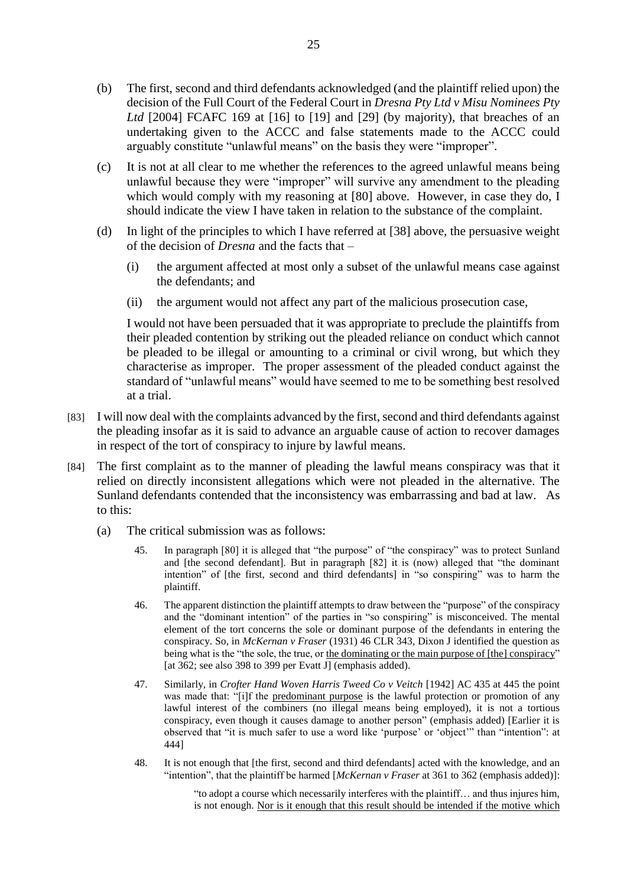- (b) The first, second and third defendants acknowledged (and the plaintiff relied upon) the decision of the Full Court of the Federal Court in *Dresna Pty Ltd v Misu Nominees Pty Ltd* [2004] FCAFC 169 at [16] to [19] and [29] (by majority), that breaches of an undertaking given to the ACCC and false statements made to the ACCC could arguably constitute "unlawful means" on the basis they were "improper".
- (c) It is not at all clear to me whether the references to the agreed unlawful means being unlawful because they were "improper" will survive any amendment to the pleading which would comply with my reasoning at [80] above. However, in case they do, I should indicate the view I have taken in relation to the substance of the complaint.
- (d) In light of the principles to which I have referred at [38] above, the persuasive weight of the decision of *Dresna* and the facts that –
	- (i) the argument affected at most only a subset of the unlawful means case against the defendants; and
	- (ii) the argument would not affect any part of the malicious prosecution case,

I would not have been persuaded that it was appropriate to preclude the plaintiffs from their pleaded contention by striking out the pleaded reliance on conduct which cannot be pleaded to be illegal or amounting to a criminal or civil wrong, but which they characterise as improper. The proper assessment of the pleaded conduct against the standard of "unlawful means" would have seemed to me to be something best resolved at a trial.

- [83] I will now deal with the complaints advanced by the first, second and third defendants against the pleading insofar as it is said to advance an arguable cause of action to recover damages in respect of the tort of conspiracy to injure by lawful means.
- [84] The first complaint as to the manner of pleading the lawful means conspiracy was that it relied on directly inconsistent allegations which were not pleaded in the alternative. The Sunland defendants contended that the inconsistency was embarrassing and bad at law. As to this:
	- (a) The critical submission was as follows:
		- 45. In paragraph [80] it is alleged that "the purpose" of "the conspiracy" was to protect Sunland and [the second defendant]. But in paragraph [82] it is (now) alleged that "the dominant intention" of [the first, second and third defendants] in "so conspiring" was to harm the plaintiff.
		- 46. The apparent distinction the plaintiff attempts to draw between the "purpose" of the conspiracy and the "dominant intention" of the parties in "so conspiring" is misconceived. The mental element of the tort concerns the sole or dominant purpose of the defendants in entering the conspiracy. So, in *McKernan v Fraser* (1931) 46 CLR 343, Dixon J identified the question as being what is the "the sole, the true, or the dominating or the main purpose of [the] conspiracy" [at 362; see also 398 to 399 per Evatt J] (emphasis added).
		- 47. Similarly, in *Crofter Hand Woven Harris Tweed Co v Veitch* [1942] AC 435 at 445 the point was made that: "[i]f the predominant purpose is the lawful protection or promotion of any lawful interest of the combiners (no illegal means being employed), it is not a tortious conspiracy, even though it causes damage to another person" (emphasis added) [Earlier it is observed that "it is much safer to use a word like 'purpose' or 'object'" than "intention": at 444]
		- 48. It is not enough that [the first, second and third defendants] acted with the knowledge, and an "intention", that the plaintiff be harmed [*McKernan v Fraser* at 361 to 362 (emphasis added)]:

"to adopt a course which necessarily interferes with the plaintiff… and thus injures him, is not enough. Nor is it enough that this result should be intended if the motive which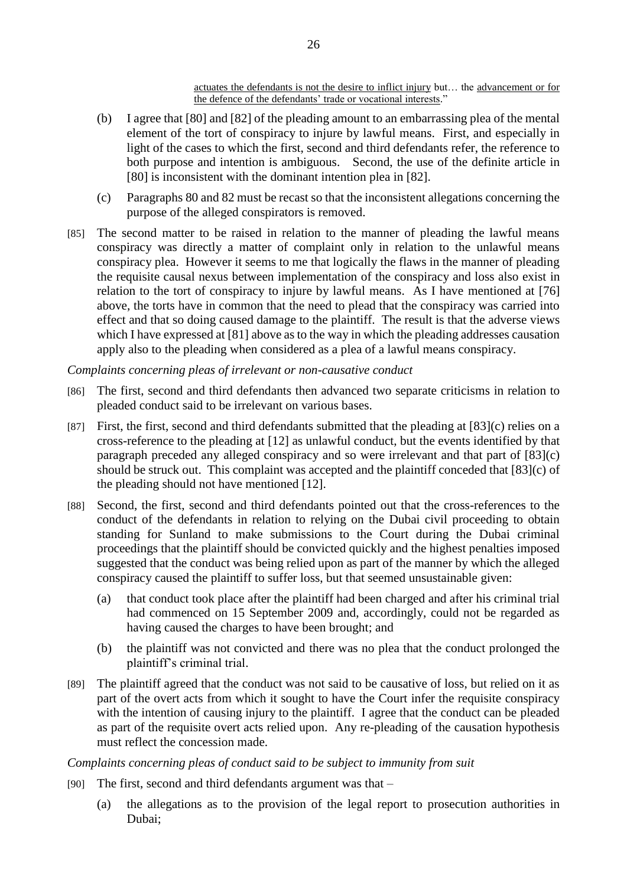actuates the defendants is not the desire to inflict injury but… the advancement or for the defence of the defendants' trade or vocational interests."

- (b) I agree that [80] and [82] of the pleading amount to an embarrassing plea of the mental element of the tort of conspiracy to injure by lawful means. First, and especially in light of the cases to which the first, second and third defendants refer, the reference to both purpose and intention is ambiguous. Second, the use of the definite article in [80] is inconsistent with the dominant intention plea in [82].
- (c) Paragraphs 80 and 82 must be recast so that the inconsistent allegations concerning the purpose of the alleged conspirators is removed.
- [85] The second matter to be raised in relation to the manner of pleading the lawful means conspiracy was directly a matter of complaint only in relation to the unlawful means conspiracy plea. However it seems to me that logically the flaws in the manner of pleading the requisite causal nexus between implementation of the conspiracy and loss also exist in relation to the tort of conspiracy to injure by lawful means. As I have mentioned at [76] above, the torts have in common that the need to plead that the conspiracy was carried into effect and that so doing caused damage to the plaintiff. The result is that the adverse views which I have expressed at [81] above as to the way in which the pleading addresses causation apply also to the pleading when considered as a plea of a lawful means conspiracy.

*Complaints concerning pleas of irrelevant or non-causative conduct*

- [86] The first, second and third defendants then advanced two separate criticisms in relation to pleaded conduct said to be irrelevant on various bases.
- [87] First, the first, second and third defendants submitted that the pleading at [83](c) relies on a cross-reference to the pleading at [12] as unlawful conduct, but the events identified by that paragraph preceded any alleged conspiracy and so were irrelevant and that part of [83](c) should be struck out. This complaint was accepted and the plaintiff conceded that [83](c) of the pleading should not have mentioned [12].
- [88] Second, the first, second and third defendants pointed out that the cross-references to the conduct of the defendants in relation to relying on the Dubai civil proceeding to obtain standing for Sunland to make submissions to the Court during the Dubai criminal proceedings that the plaintiff should be convicted quickly and the highest penalties imposed suggested that the conduct was being relied upon as part of the manner by which the alleged conspiracy caused the plaintiff to suffer loss, but that seemed unsustainable given:
	- (a) that conduct took place after the plaintiff had been charged and after his criminal trial had commenced on 15 September 2009 and, accordingly, could not be regarded as having caused the charges to have been brought; and
	- (b) the plaintiff was not convicted and there was no plea that the conduct prolonged the plaintiff's criminal trial.
- [89] The plaintiff agreed that the conduct was not said to be causative of loss, but relied on it as part of the overt acts from which it sought to have the Court infer the requisite conspiracy with the intention of causing injury to the plaintiff. I agree that the conduct can be pleaded as part of the requisite overt acts relied upon. Any re-pleading of the causation hypothesis must reflect the concession made.

*Complaints concerning pleas of conduct said to be subject to immunity from suit*

- [90] The first, second and third defendants argument was that
	- (a) the allegations as to the provision of the legal report to prosecution authorities in Dubai;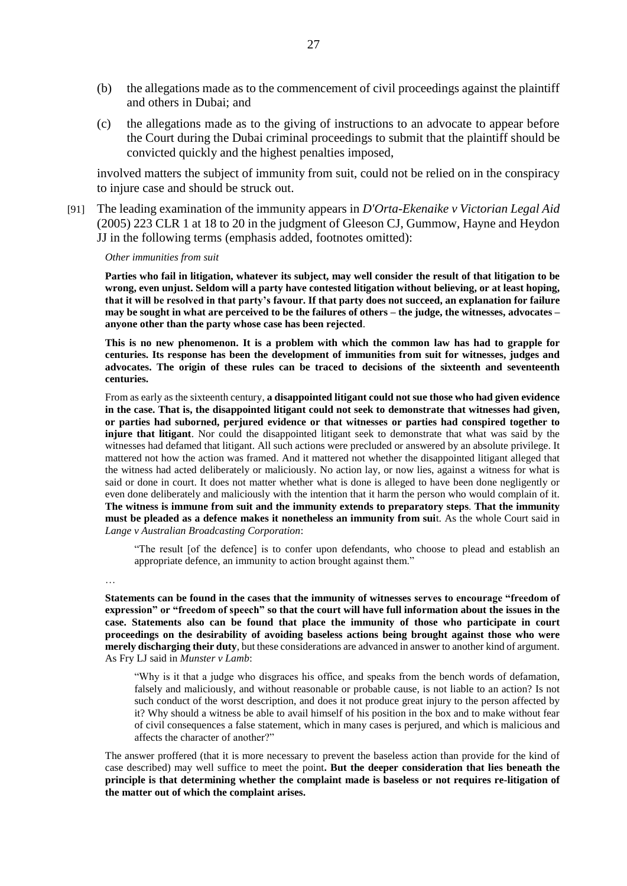- (b) the allegations made as to the commencement of civil proceedings against the plaintiff and others in Dubai; and
- (c) the allegations made as to the giving of instructions to an advocate to appear before the Court during the Dubai criminal proceedings to submit that the plaintiff should be convicted quickly and the highest penalties imposed,

involved matters the subject of immunity from suit, could not be relied on in the conspiracy to injure case and should be struck out.

[91] The leading examination of the immunity appears in *D'Orta-Ekenaike v Victorian Legal Aid* (2005) 223 CLR 1 at 18 to 20 in the judgment of Gleeson CJ, Gummow, Hayne and Heydon JJ in the following terms (emphasis added, footnotes omitted):

*Other immunities from suit*

**Parties who fail in litigation, whatever its subject, may well consider the result of that litigation to be wrong, even unjust. Seldom will a party have contested litigation without believing, or at least hoping, that it will be resolved in that party's favour. If that party does not succeed, an explanation for failure may be sought in what are perceived to be the failures of others – the judge, the witnesses, advocates – anyone other than the party whose case has been rejected**.

**This is no new phenomenon. It is a problem with which the common law has had to grapple for centuries. Its response has been the development of immunities from suit for witnesses, judges and advocates. The origin of these rules can be traced to decisions of the sixteenth and seventeenth centuries.**

From as early as the sixteenth century, **a disappointed litigant could not sue those who had given evidence in the case. That is, the disappointed litigant could not seek to demonstrate that witnesses had given, or parties had suborned, perjured evidence or that witnesses or parties had conspired together to injure that litigant**. Nor could the disappointed litigant seek to demonstrate that what was said by the witnesses had defamed that litigant. All such actions were precluded or answered by an absolute privilege. It mattered not how the action was framed. And it mattered not whether the disappointed litigant alleged that the witness had acted deliberately or maliciously. No action lay, or now lies, against a witness for what is said or done in court. It does not matter whether what is done is alleged to have been done negligently or even done deliberately and maliciously with the intention that it harm the person who would complain of it. **The witness is immune from suit and the immunity extends to preparatory steps**. **That the immunity must be pleaded as a defence makes it nonetheless an immunity from sui**t. As the whole Court said in *Lange v Australian Broadcasting Corporation*:

"The result [of the defence] is to confer upon defendants, who choose to plead and establish an appropriate defence, an immunity to action brought against them."

…

**Statements can be found in the cases that the immunity of witnesses serves to encourage "freedom of expression" or "freedom of speech" so that the court will have full information about the issues in the case. Statements also can be found that place the immunity of those who participate in court proceedings on the desirability of avoiding baseless actions being brought against those who were merely discharging their duty**, but these considerations are advanced in answer to another kind of argument. As Fry LJ said in *Munster v Lamb*:

"Why is it that a judge who disgraces his office, and speaks from the bench words of defamation, falsely and maliciously, and without reasonable or probable cause, is not liable to an action? Is not such conduct of the worst description, and does it not produce great injury to the person affected by it? Why should a witness be able to avail himself of his position in the box and to make without fear of civil consequences a false statement, which in many cases is perjured, and which is malicious and affects the character of another?"

The answer proffered (that it is more necessary to prevent the baseless action than provide for the kind of case described) may well suffice to meet the point**. But the deeper consideration that lies beneath the principle is that determining whether the complaint made is baseless or not requires re-litigation of the matter out of which the complaint arises.**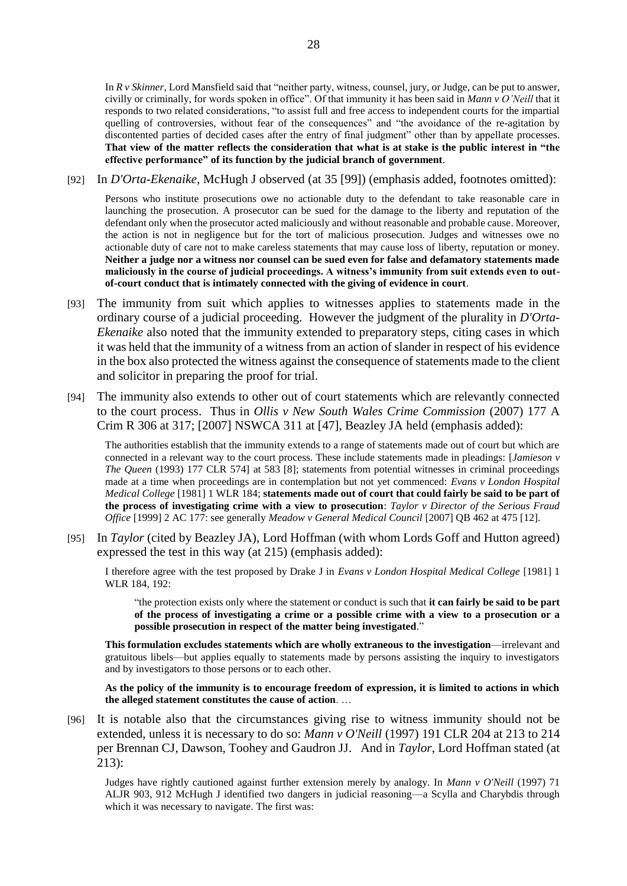In *R v Skinner*, Lord Mansfield said that "neither party, witness, counsel, jury, or Judge, can be put to answer, civilly or criminally, for words spoken in office". Of that immunity it has been said in *Mann v O'Neill* that it responds to two related considerations, "to assist full and free access to independent courts for the impartial quelling of controversies, without fear of the consequences" and "the avoidance of the re-agitation by discontented parties of decided cases after the entry of final judgment" other than by appellate processes. **That view of the matter reflects the consideration that what is at stake is the public interest in "the effective performance" of its function by the judicial branch of government**.

[92] In *D'Orta-Ekenaike*, McHugh J observed (at 35 [99]) (emphasis added, footnotes omitted):

Persons who institute prosecutions owe no actionable duty to the defendant to take reasonable care in launching the prosecution. A prosecutor can be sued for the damage to the liberty and reputation of the defendant only when the prosecutor acted maliciously and without reasonable and probable cause. Moreover, the action is not in negligence but for the tort of malicious prosecution. Judges and witnesses owe no actionable duty of care not to make careless statements that may cause loss of liberty, reputation or money. **Neither a judge nor a witness nor counsel can be sued even for false and defamatory statements made maliciously in the course of judicial proceedings. A witness's immunity from suit extends even to outof-court conduct that is intimately connected with the giving of evidence in court**.

- [93] The immunity from suit which applies to witnesses applies to statements made in the ordinary course of a judicial proceeding. However the judgment of the plurality in *D'Orta-Ekenaike* also noted that the immunity extended to preparatory steps, citing cases in which it was held that the immunity of a witness from an action of slander in respect of his evidence in the box also protected the witness against the consequence of statements made to the client and solicitor in preparing the proof for trial.
- [94] The immunity also extends to other out of court statements which are relevantly connected to the court process. Thus in *Ollis v New South Wales Crime Commission* (2007) 177 A Crim R 306 at 317; [2007] NSWCA 311 at [47], Beazley JA held (emphasis added):

The authorities establish that the immunity extends to a range of statements made out of court but which are connected in a relevant way to the court process. These include statements made in pleadings: [*Jamieson v The Queen* (1993) 177 CLR 574] at 583 [8]; statements from potential witnesses in criminal proceedings made at a time when proceedings are in contemplation but not yet commenced: *Evans v London Hospital Medical College* [1981] 1 WLR 184; **statements made out of court that could fairly be said to be part of the process of investigating crime with a view to prosecution**: *Taylor v Director of the Serious Fraud Office* [1999] 2 AC 177: see generally *Meadow v General Medical Council* [2007] QB 462 at 475 [12].

[95] In *Taylor* (cited by Beazley JA), Lord Hoffman (with whom Lords Goff and Hutton agreed) expressed the test in this way (at 215) (emphasis added):

I therefore agree with the test proposed by Drake J in *Evans v London Hospital Medical College* [1981] 1 WLR 184, 192:

"the protection exists only where the statement or conduct is such that **it can fairly be said to be part of the process of investigating a crime or a possible crime with a view to a prosecution or a possible prosecution in respect of the matter being investigated**."

**This formulation excludes statements which are wholly extraneous to the investigation**—irrelevant and gratuitous libels—but applies equally to statements made by persons assisting the inquiry to investigators and by investigators to those persons or to each other.

**As the policy of the immunity is to encourage freedom of expression, it is limited to actions in which the alleged statement constitutes the cause of action**. …

[96] It is notable also that the circumstances giving rise to witness immunity should not be extended, unless it is necessary to do so: *Mann v O'Neill* (1997) 191 CLR 204 at 213 to 214 per Brennan CJ, Dawson, Toohey and Gaudron JJ. And in *Taylor*, Lord Hoffman stated (at 213):

Judges have rightly cautioned against further extension merely by analogy. In *Mann v O'Neill* (1997) 71 ALJR 903, 912 McHugh J identified two dangers in judicial reasoning—a Scylla and Charybdis through which it was necessary to navigate. The first was: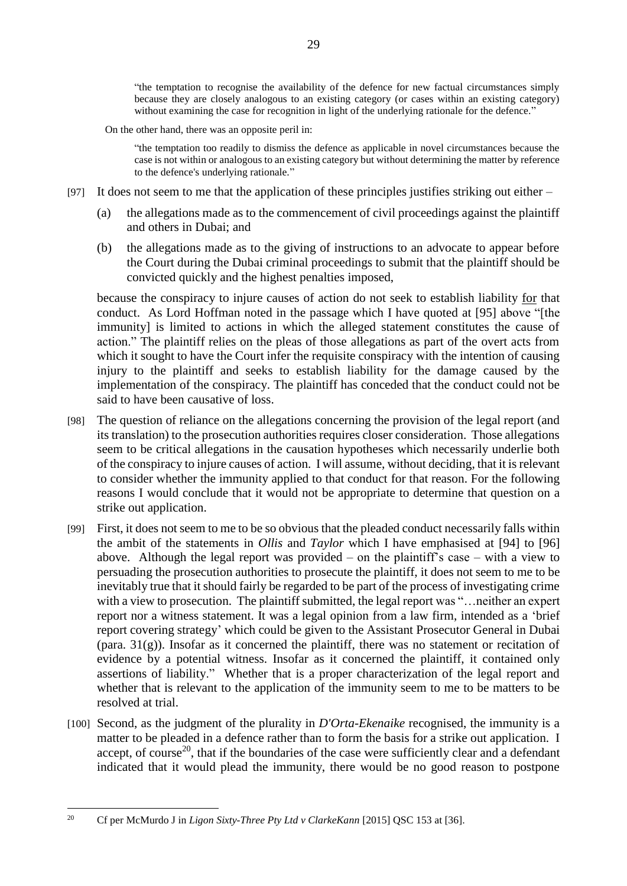"the temptation to recognise the availability of the defence for new factual circumstances simply because they are closely analogous to an existing category (or cases within an existing category) without examining the case for recognition in light of the underlying rationale for the defence."

On the other hand, there was an opposite peril in:

"the temptation too readily to dismiss the defence as applicable in novel circumstances because the case is not within or analogous to an existing category but without determining the matter by reference to the defence's underlying rationale."

- [97] It does not seem to me that the application of these principles justifies striking out either  $-$ 
	- (a) the allegations made as to the commencement of civil proceedings against the plaintiff and others in Dubai; and
	- (b) the allegations made as to the giving of instructions to an advocate to appear before the Court during the Dubai criminal proceedings to submit that the plaintiff should be convicted quickly and the highest penalties imposed,

because the conspiracy to injure causes of action do not seek to establish liability for that conduct. As Lord Hoffman noted in the passage which I have quoted at [95] above "[the immunity] is limited to actions in which the alleged statement constitutes the cause of action." The plaintiff relies on the pleas of those allegations as part of the overt acts from which it sought to have the Court infer the requisite conspiracy with the intention of causing injury to the plaintiff and seeks to establish liability for the damage caused by the implementation of the conspiracy. The plaintiff has conceded that the conduct could not be said to have been causative of loss.

- [98] The question of reliance on the allegations concerning the provision of the legal report (and its translation) to the prosecution authorities requires closer consideration. Those allegations seem to be critical allegations in the causation hypotheses which necessarily underlie both of the conspiracy to injure causes of action. I will assume, without deciding, that it is relevant to consider whether the immunity applied to that conduct for that reason. For the following reasons I would conclude that it would not be appropriate to determine that question on a strike out application.
- [99] First, it does not seem to me to be so obvious that the pleaded conduct necessarily falls within the ambit of the statements in *Ollis* and *Taylor* which I have emphasised at [94] to [96] above. Although the legal report was provided – on the plaintiff's case – with a view to persuading the prosecution authorities to prosecute the plaintiff, it does not seem to me to be inevitably true that it should fairly be regarded to be part of the process of investigating crime with a view to prosecution. The plaintiff submitted, the legal report was "…neither an expert report nor a witness statement. It was a legal opinion from a law firm, intended as a 'brief report covering strategy' which could be given to the Assistant Prosecutor General in Dubai (para.  $31(g)$ ). Insofar as it concerned the plaintiff, there was no statement or recitation of evidence by a potential witness. Insofar as it concerned the plaintiff, it contained only assertions of liability." Whether that is a proper characterization of the legal report and whether that is relevant to the application of the immunity seem to me to be matters to be resolved at trial.
- [100] Second, as the judgment of the plurality in *D'Orta-Ekenaike* recognised, the immunity is a matter to be pleaded in a defence rather than to form the basis for a strike out application. I accept, of course<sup>20</sup>, that if the boundaries of the case were sufficiently clear and a defendant indicated that it would plead the immunity, there would be no good reason to postpone

 $\overline{a}$ 

<sup>20</sup> Cf per McMurdo J in *Ligon Sixty-Three Pty Ltd v ClarkeKann* [2015] QSC 153 at [36].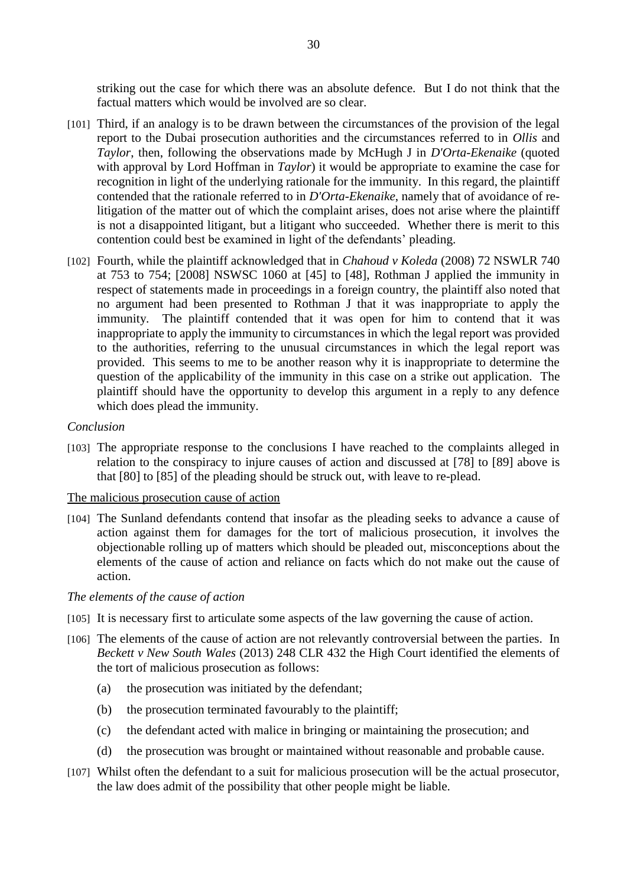striking out the case for which there was an absolute defence. But I do not think that the factual matters which would be involved are so clear.

- [101] Third, if an analogy is to be drawn between the circumstances of the provision of the legal report to the Dubai prosecution authorities and the circumstances referred to in *Ollis* and *Taylor*, then, following the observations made by McHugh J in *D'Orta-Ekenaike* (quoted with approval by Lord Hoffman in *Taylor*) it would be appropriate to examine the case for recognition in light of the underlying rationale for the immunity. In this regard, the plaintiff contended that the rationale referred to in *D'Orta-Ekenaike*, namely that of avoidance of relitigation of the matter out of which the complaint arises, does not arise where the plaintiff is not a disappointed litigant, but a litigant who succeeded. Whether there is merit to this contention could best be examined in light of the defendants' pleading.
- [102] Fourth, while the plaintiff acknowledged that in *Chahoud v Koleda* (2008) 72 NSWLR 740 at 753 to 754; [2008] NSWSC 1060 at [45] to [48], Rothman J applied the immunity in respect of statements made in proceedings in a foreign country, the plaintiff also noted that no argument had been presented to Rothman J that it was inappropriate to apply the immunity. The plaintiff contended that it was open for him to contend that it was inappropriate to apply the immunity to circumstances in which the legal report was provided to the authorities, referring to the unusual circumstances in which the legal report was provided. This seems to me to be another reason why it is inappropriate to determine the question of the applicability of the immunity in this case on a strike out application. The plaintiff should have the opportunity to develop this argument in a reply to any defence which does plead the immunity.

#### *Conclusion*

[103] The appropriate response to the conclusions I have reached to the complaints alleged in relation to the conspiracy to injure causes of action and discussed at [78] to [89] above is that [80] to [85] of the pleading should be struck out, with leave to re-plead.

#### The malicious prosecution cause of action

[104] The Sunland defendants contend that insofar as the pleading seeks to advance a cause of action against them for damages for the tort of malicious prosecution, it involves the objectionable rolling up of matters which should be pleaded out, misconceptions about the elements of the cause of action and reliance on facts which do not make out the cause of action.

#### *The elements of the cause of action*

- [105] It is necessary first to articulate some aspects of the law governing the cause of action.
- [106] The elements of the cause of action are not relevantly controversial between the parties. In *Beckett v New South Wales* (2013) 248 CLR 432 the High Court identified the elements of the tort of malicious prosecution as follows:
	- (a) the prosecution was initiated by the defendant;
	- (b) the prosecution terminated favourably to the plaintiff;
	- (c) the defendant acted with malice in bringing or maintaining the prosecution; and
	- (d) the prosecution was brought or maintained without reasonable and probable cause.
- [107] Whilst often the defendant to a suit for malicious prosecution will be the actual prosecutor, the law does admit of the possibility that other people might be liable.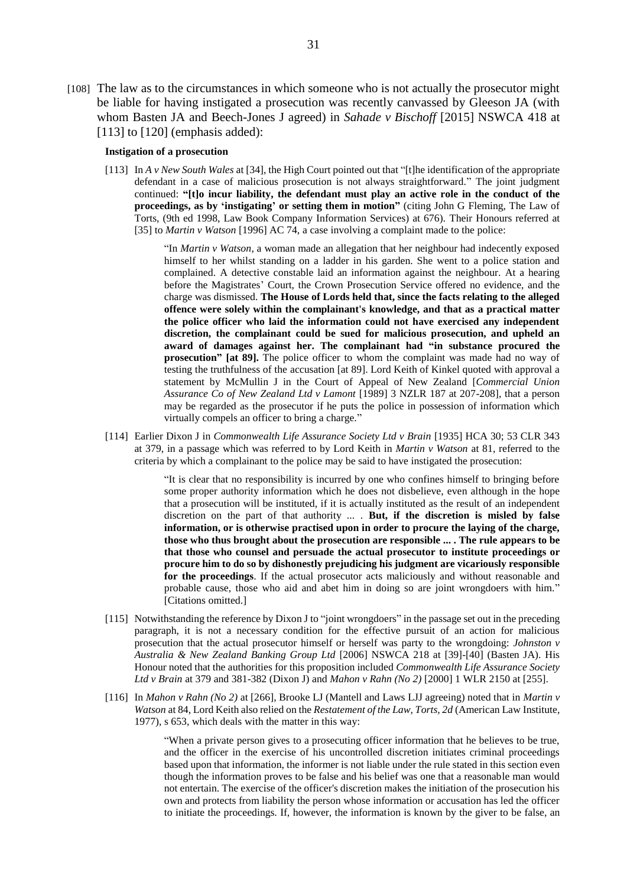[108] The law as to the circumstances in which someone who is not actually the prosecutor might be liable for having instigated a prosecution was recently canvassed by Gleeson JA (with whom Basten JA and Beech-Jones J agreed) in *Sahade v Bischoff* [2015] NSWCA 418 at  $[113]$  to  $[120]$  (emphasis added):

#### **Instigation of a prosecution**

[113] In *A v New South Wales* at [34], the High Court pointed out that "[t]he identification of the appropriate defendant in a case of malicious prosecution is not always straightforward." The joint judgment continued: **"[t]o incur liability, the defendant must play an active role in the conduct of the proceedings, as by 'instigating' or setting them in motion"** (citing John G Fleming, The Law of Torts, (9th ed 1998, Law Book Company Information Services) at 676). Their Honours referred at [35] to *Martin v Watson* [1996] AC 74, a case involving a complaint made to the police:

> "In *Martin v Watson*, a woman made an allegation that her neighbour had indecently exposed himself to her whilst standing on a ladder in his garden. She went to a police station and complained. A detective constable laid an information against the neighbour. At a hearing before the Magistrates' Court, the Crown Prosecution Service offered no evidence, and the charge was dismissed. **The House of Lords held that, since the facts relating to the alleged offence were solely within the complainant's knowledge, and that as a practical matter the police officer who laid the information could not have exercised any independent discretion, the complainant could be sued for malicious prosecution, and upheld an award of damages against her. The complainant had "in substance procured the prosecution" [at 89].** The police officer to whom the complaint was made had no way of testing the truthfulness of the accusation [at 89]. Lord Keith of Kinkel quoted with approval a statement by McMullin J in the Court of Appeal of New Zealand [*Commercial Union Assurance Co of New Zealand Ltd v Lamont* [1989] 3 NZLR 187 at 207-208], that a person may be regarded as the prosecutor if he puts the police in possession of information which virtually compels an officer to bring a charge."

[114] Earlier Dixon J in *Commonwealth Life Assurance Society Ltd v Brain* [1935] HCA 30; 53 CLR 343 at 379, in a passage which was referred to by Lord Keith in *Martin v Watson* at 81, referred to the criteria by which a complainant to the police may be said to have instigated the prosecution:

> "It is clear that no responsibility is incurred by one who confines himself to bringing before some proper authority information which he does not disbelieve, even although in the hope that a prosecution will be instituted, if it is actually instituted as the result of an independent discretion on the part of that authority ... . **But, if the discretion is misled by false information, or is otherwise practised upon in order to procure the laying of the charge, those who thus brought about the prosecution are responsible ... . The rule appears to be that those who counsel and persuade the actual prosecutor to institute proceedings or procure him to do so by dishonestly prejudicing his judgment are vicariously responsible for the proceedings**. If the actual prosecutor acts maliciously and without reasonable and probable cause, those who aid and abet him in doing so are joint wrongdoers with him." [Citations omitted.]

- [115] Notwithstanding the reference by Dixon J to "joint wrongdoers" in the passage set out in the preceding paragraph, it is not a necessary condition for the effective pursuit of an action for malicious prosecution that the actual prosecutor himself or herself was party to the wrongdoing: *Johnston v Australia & New Zealand Banking Group Ltd* [2006] NSWCA 218 at [39]-[40] (Basten JA). His Honour noted that the authorities for this proposition included *Commonwealth Life Assurance Society Ltd v Brain* at 379 and 381-382 (Dixon J) and *Mahon v Rahn (No 2)* [2000] 1 WLR 2150 at [255].
- [116] In *Mahon v Rahn (No 2)* at [266], Brooke LJ (Mantell and Laws LJJ agreeing) noted that in *Martin v Watson* at 84, Lord Keith also relied on the *Restatement of the Law, Torts, 2d* (American Law Institute, 1977), s 653, which deals with the matter in this way:

"When a private person gives to a prosecuting officer information that he believes to be true, and the officer in the exercise of his uncontrolled discretion initiates criminal proceedings based upon that information, the informer is not liable under the rule stated in this section even though the information proves to be false and his belief was one that a reasonable man would not entertain. The exercise of the officer's discretion makes the initiation of the prosecution his own and protects from liability the person whose information or accusation has led the officer to initiate the proceedings. If, however, the information is known by the giver to be false, an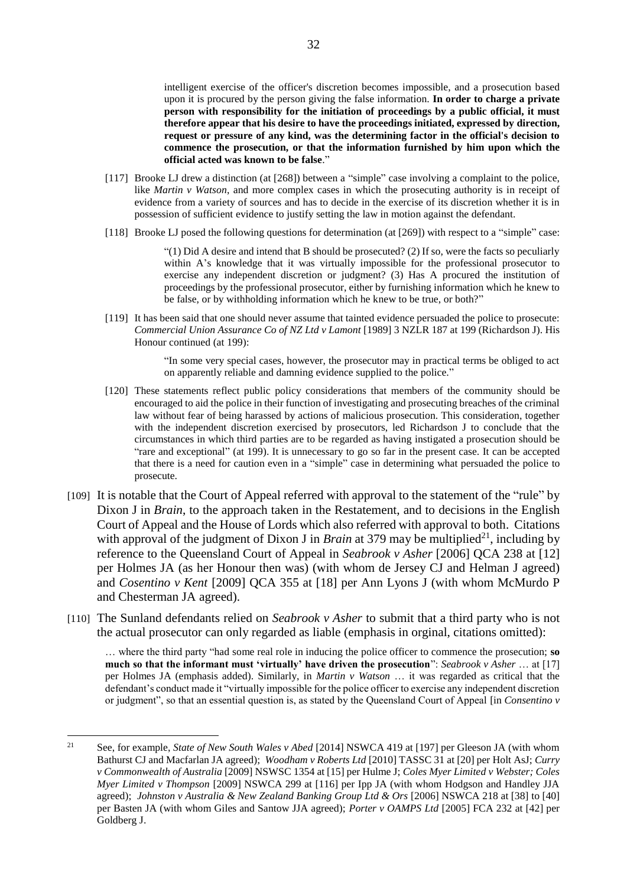intelligent exercise of the officer's discretion becomes impossible, and a prosecution based upon it is procured by the person giving the false information. **In order to charge a private person with responsibility for the initiation of proceedings by a public official, it must therefore appear that his desire to have the proceedings initiated, expressed by direction, request or pressure of any kind, was the determining factor in the official's decision to commence the prosecution, or that the information furnished by him upon which the official acted was known to be false**."

- [117] Brooke LJ drew a distinction (at [268]) between a "simple" case involving a complaint to the police, like *Martin v Watson*, and more complex cases in which the prosecuting authority is in receipt of evidence from a variety of sources and has to decide in the exercise of its discretion whether it is in possession of sufficient evidence to justify setting the law in motion against the defendant.
- [118] Brooke LJ posed the following questions for determination (at [269]) with respect to a "simple" case:

 $(1)$  Did A desire and intend that B should be prosecuted? (2) If so, were the facts so peculiarly within A's knowledge that it was virtually impossible for the professional prosecutor to exercise any independent discretion or judgment? (3) Has A procured the institution of proceedings by the professional prosecutor, either by furnishing information which he knew to be false, or by withholding information which he knew to be true, or both?"

[119] It has been said that one should never assume that tainted evidence persuaded the police to prosecute: *Commercial Union Assurance Co of NZ Ltd v Lamont* [1989] 3 NZLR 187 at 199 (Richardson J). His Honour continued (at 199):

> "In some very special cases, however, the prosecutor may in practical terms be obliged to act on apparently reliable and damning evidence supplied to the police."

- [120] These statements reflect public policy considerations that members of the community should be encouraged to aid the police in their function of investigating and prosecuting breaches of the criminal law without fear of being harassed by actions of malicious prosecution. This consideration, together with the independent discretion exercised by prosecutors, led Richardson J to conclude that the circumstances in which third parties are to be regarded as having instigated a prosecution should be "rare and exceptional" (at 199). It is unnecessary to go so far in the present case. It can be accepted that there is a need for caution even in a "simple" case in determining what persuaded the police to prosecute.
- [109] It is notable that the Court of Appeal referred with approval to the statement of the "rule" by Dixon J in *Brain*, to the approach taken in the Restatement, and to decisions in the English Court of Appeal and the House of Lords which also referred with approval to both. Citations with approval of the judgment of Dixon J in *Brain* at 379 may be multiplied<sup>21</sup>, including by reference to the Queensland Court of Appeal in *Seabrook v Asher* [2006] QCA 238 at [12] per Holmes JA (as her Honour then was) (with whom de Jersey CJ and Helman J agreed) and *Cosentino v Kent* [2009] QCA 355 at [18] per Ann Lyons J (with whom McMurdo P and Chesterman JA agreed).
- [110] The Sunland defendants relied on *Seabrook v Asher* to submit that a third party who is not the actual prosecutor can only regarded as liable (emphasis in orginal, citations omitted):

… where the third party "had some real role in inducing the police officer to commence the prosecution; **so much so that the informant must 'virtually' have driven the prosecution**": *Seabrook v Asher* … at [17] per Holmes JA (emphasis added). Similarly, in *Martin v Watson* … it was regarded as critical that the defendant's conduct made it "virtually impossible for the police officer to exercise any independent discretion or judgment", so that an essential question is, as stated by the Queensland Court of Appeal [in *Consentino v* 

 $\overline{a}$ 

<sup>21</sup> See, for example, *State of New South Wales v Abed* [2014] NSWCA 419 at [197] per Gleeson JA (with whom Bathurst CJ and Macfarlan JA agreed); *Woodham v Roberts Ltd* [2010] TASSC 31 at [20] per Holt AsJ; *Curry v Commonwealth of Australia* [2009] NSWSC 1354 at [15] per Hulme J; *Coles Myer Limited v Webster; Coles Myer Limited v Thompson* [2009] NSWCA 299 at [116] per Ipp JA (with whom Hodgson and Handley JJA agreed); *Johnston v Australia & New Zealand Banking Group Ltd & Ors* [2006] NSWCA 218 at [38] to [40] per Basten JA (with whom Giles and Santow JJA agreed); *Porter v OAMPS Ltd* [2005] FCA 232 at [42] per Goldberg J.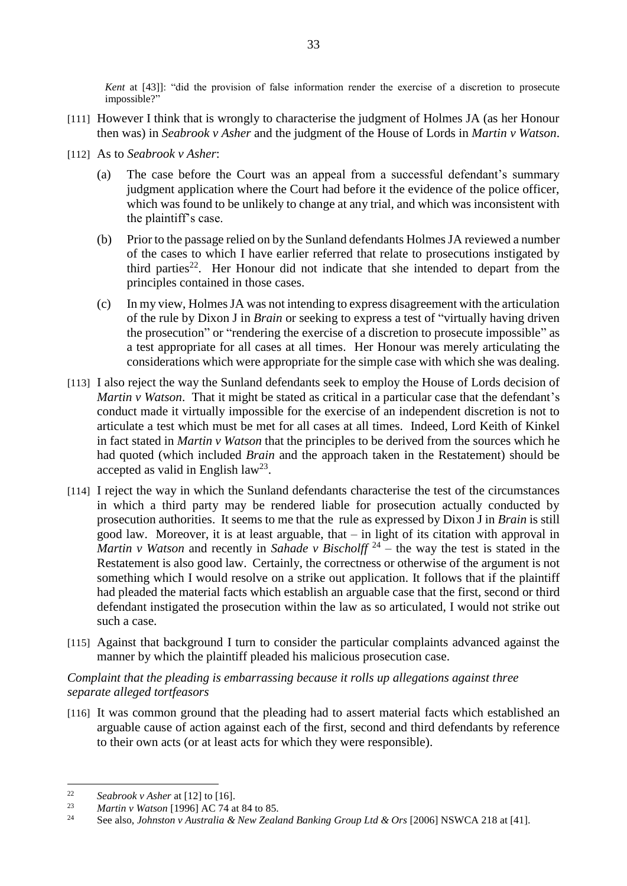*Kent* at [43]]: "did the provision of false information render the exercise of a discretion to prosecute impossible?"

- [111] However I think that is wrongly to characterise the judgment of Holmes JA (as her Honour then was) in *Seabrook v Asher* and the judgment of the House of Lords in *Martin v Watson*.
- [112] As to *Seabrook v Asher*:
	- (a) The case before the Court was an appeal from a successful defendant's summary judgment application where the Court had before it the evidence of the police officer, which was found to be unlikely to change at any trial, and which was inconsistent with the plaintiff's case.
	- (b) Prior to the passage relied on by the Sunland defendants Holmes JA reviewed a number of the cases to which I have earlier referred that relate to prosecutions instigated by third parties<sup>22</sup>. Her Honour did not indicate that she intended to depart from the principles contained in those cases.
	- (c) In my view, Holmes JA was not intending to express disagreement with the articulation of the rule by Dixon J in *Brain* or seeking to express a test of "virtually having driven the prosecution" or "rendering the exercise of a discretion to prosecute impossible" as a test appropriate for all cases at all times. Her Honour was merely articulating the considerations which were appropriate for the simple case with which she was dealing.
- [113] I also reject the way the Sunland defendants seek to employ the House of Lords decision of *Martin v Watson*. That it might be stated as critical in a particular case that the defendant's conduct made it virtually impossible for the exercise of an independent discretion is not to articulate a test which must be met for all cases at all times. Indeed, Lord Keith of Kinkel in fact stated in *Martin v Watson* that the principles to be derived from the sources which he had quoted (which included *Brain* and the approach taken in the Restatement) should be accepted as valid in English  $law<sup>23</sup>$ .
- [114] I reject the way in which the Sunland defendants characterise the test of the circumstances in which a third party may be rendered liable for prosecution actually conducted by prosecution authorities. It seems to me that the rule as expressed by Dixon J in *Brain* is still good law. Moreover, it is at least arguable, that – in light of its citation with approval in *Martin v Watson* and recently in *Sahade v Bischolff* <sup>24</sup> – the way the test is stated in the Restatement is also good law. Certainly, the correctness or otherwise of the argument is not something which I would resolve on a strike out application. It follows that if the plaintiff had pleaded the material facts which establish an arguable case that the first, second or third defendant instigated the prosecution within the law as so articulated, I would not strike out such a case.
- [115] Against that background I turn to consider the particular complaints advanced against the manner by which the plaintiff pleaded his malicious prosecution case.

## *Complaint that the pleading is embarrassing because it rolls up allegations against three separate alleged tortfeasors*

[116] It was common ground that the pleading had to assert material facts which established an arguable cause of action against each of the first, second and third defendants by reference to their own acts (or at least acts for which they were responsible).

 $\overline{a}$ 

<sup>22</sup> *Seabrook v Asher* at [12] to [16].

<sup>23</sup> *Martin v Watson* [1996] AC 74 at 84 to 85.

<sup>24</sup> See also, *Johnston v Australia & New Zealand Banking Group Ltd & Ors* [2006] NSWCA 218 at [41].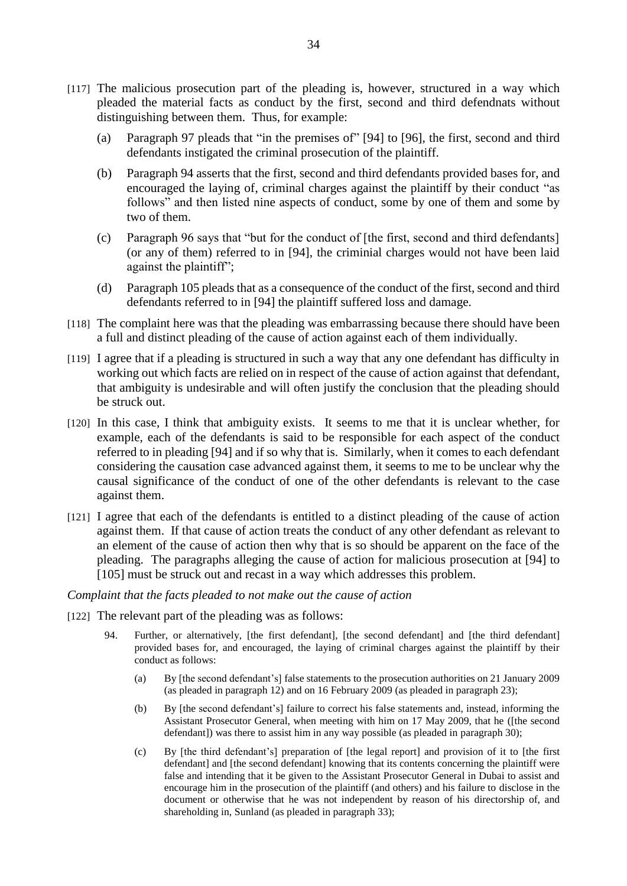- [117] The malicious prosecution part of the pleading is, however, structured in a way which pleaded the material facts as conduct by the first, second and third defendnats without distinguishing between them. Thus, for example:
	- (a) Paragraph 97 pleads that "in the premises of" [94] to [96], the first, second and third defendants instigated the criminal prosecution of the plaintiff.
	- (b) Paragraph 94 asserts that the first, second and third defendants provided bases for, and encouraged the laying of, criminal charges against the plaintiff by their conduct "as follows" and then listed nine aspects of conduct, some by one of them and some by two of them.
	- (c) Paragraph 96 says that "but for the conduct of [the first, second and third defendants] (or any of them) referred to in [94], the criminial charges would not have been laid against the plaintiff";
	- (d) Paragraph 105 pleads that as a consequence of the conduct of the first, second and third defendants referred to in [94] the plaintiff suffered loss and damage.
- [118] The complaint here was that the pleading was embarrassing because there should have been a full and distinct pleading of the cause of action against each of them individually.
- [119] I agree that if a pleading is structured in such a way that any one defendant has difficulty in working out which facts are relied on in respect of the cause of action against that defendant, that ambiguity is undesirable and will often justify the conclusion that the pleading should be struck out.
- [120] In this case, I think that ambiguity exists. It seems to me that it is unclear whether, for example, each of the defendants is said to be responsible for each aspect of the conduct referred to in pleading [94] and if so why that is. Similarly, when it comes to each defendant considering the causation case advanced against them, it seems to me to be unclear why the causal significance of the conduct of one of the other defendants is relevant to the case against them.
- [121] I agree that each of the defendants is entitled to a distinct pleading of the cause of action against them. If that cause of action treats the conduct of any other defendant as relevant to an element of the cause of action then why that is so should be apparent on the face of the pleading. The paragraphs alleging the cause of action for malicious prosecution at [94] to [105] must be struck out and recast in a way which addresses this problem.

#### *Complaint that the facts pleaded to not make out the cause of action*

- [122] The relevant part of the pleading was as follows:
	- 94. Further, or alternatively, [the first defendant], [the second defendant] and [the third defendant] provided bases for, and encouraged, the laying of criminal charges against the plaintiff by their conduct as follows:
		- (a) By [the second defendant's] false statements to the prosecution authorities on 21 January 2009 (as pleaded in paragraph 12) and on 16 February 2009 (as pleaded in paragraph 23);
		- (b) By [the second defendant's] failure to correct his false statements and, instead, informing the Assistant Prosecutor General, when meeting with him on 17 May 2009, that he ([the second defendant]) was there to assist him in any way possible (as pleaded in paragraph 30);
		- (c) By [the third defendant's] preparation of [the legal report] and provision of it to [the first defendant] and [the second defendant] knowing that its contents concerning the plaintiff were false and intending that it be given to the Assistant Prosecutor General in Dubai to assist and encourage him in the prosecution of the plaintiff (and others) and his failure to disclose in the document or otherwise that he was not independent by reason of his directorship of, and shareholding in, Sunland (as pleaded in paragraph 33);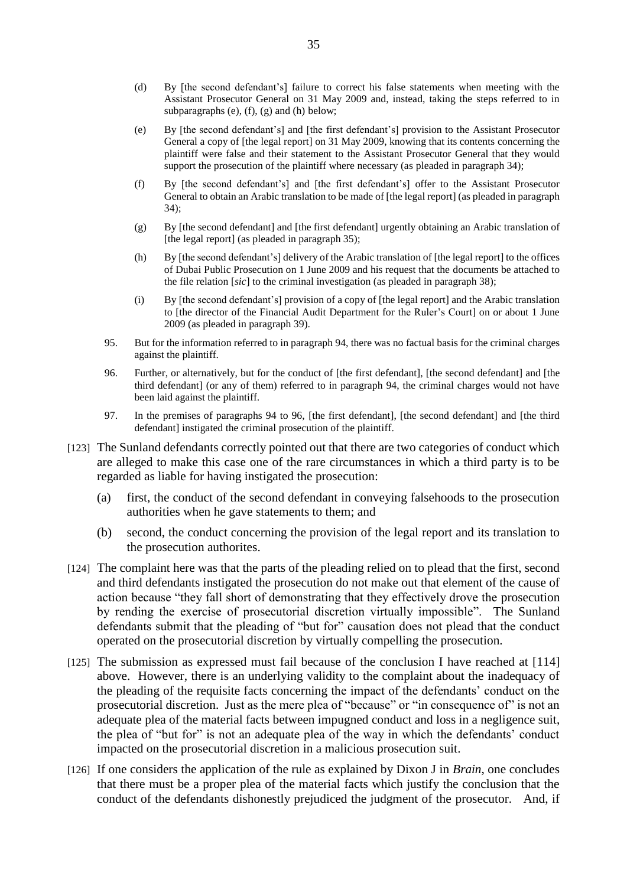- (d) By [the second defendant's] failure to correct his false statements when meeting with the Assistant Prosecutor General on 31 May 2009 and, instead, taking the steps referred to in subparagraphs (e), (f), (g) and (h) below;
- (e) By [the second defendant's] and [the first defendant's] provision to the Assistant Prosecutor General a copy of [the legal report] on 31 May 2009, knowing that its contents concerning the plaintiff were false and their statement to the Assistant Prosecutor General that they would support the prosecution of the plaintiff where necessary (as pleaded in paragraph 34);
- (f) By [the second defendant's] and [the first defendant's] offer to the Assistant Prosecutor General to obtain an Arabic translation to be made of [the legal report] (as pleaded in paragraph 34);
- (g) By [the second defendant] and [the first defendant] urgently obtaining an Arabic translation of [the legal report] (as pleaded in paragraph 35);
- (h) By [the second defendant's] delivery of the Arabic translation of [the legal report] to the offices of Dubai Public Prosecution on 1 June 2009 and his request that the documents be attached to the file relation [*sic*] to the criminal investigation (as pleaded in paragraph 38);
- (i) By [the second defendant's] provision of a copy of [the legal report] and the Arabic translation to [the director of the Financial Audit Department for the Ruler's Court] on or about 1 June 2009 (as pleaded in paragraph 39).
- 95. But for the information referred to in paragraph 94, there was no factual basis for the criminal charges against the plaintiff.
- 96. Further, or alternatively, but for the conduct of [the first defendant], [the second defendant] and [the third defendant] (or any of them) referred to in paragraph 94, the criminal charges would not have been laid against the plaintiff.
- 97. In the premises of paragraphs 94 to 96, [the first defendant], [the second defendant] and [the third defendant] instigated the criminal prosecution of the plaintiff.
- [123] The Sunland defendants correctly pointed out that there are two categories of conduct which are alleged to make this case one of the rare circumstances in which a third party is to be regarded as liable for having instigated the prosecution:
	- (a) first, the conduct of the second defendant in conveying falsehoods to the prosecution authorities when he gave statements to them; and
	- (b) second, the conduct concerning the provision of the legal report and its translation to the prosecution authorites.
- [124] The complaint here was that the parts of the pleading relied on to plead that the first, second and third defendants instigated the prosecution do not make out that element of the cause of action because "they fall short of demonstrating that they effectively drove the prosecution by rending the exercise of prosecutorial discretion virtually impossible". The Sunland defendants submit that the pleading of "but for" causation does not plead that the conduct operated on the prosecutorial discretion by virtually compelling the prosecution.
- [125] The submission as expressed must fail because of the conclusion I have reached at [114] above. However, there is an underlying validity to the complaint about the inadequacy of the pleading of the requisite facts concerning the impact of the defendants' conduct on the prosecutorial discretion. Just as the mere plea of "because" or "in consequence of" is not an adequate plea of the material facts between impugned conduct and loss in a negligence suit, the plea of "but for" is not an adequate plea of the way in which the defendants' conduct impacted on the prosecutorial discretion in a malicious prosecution suit.
- [126] If one considers the application of the rule as explained by Dixon J in *Brain*, one concludes that there must be a proper plea of the material facts which justify the conclusion that the conduct of the defendants dishonestly prejudiced the judgment of the prosecutor. And, if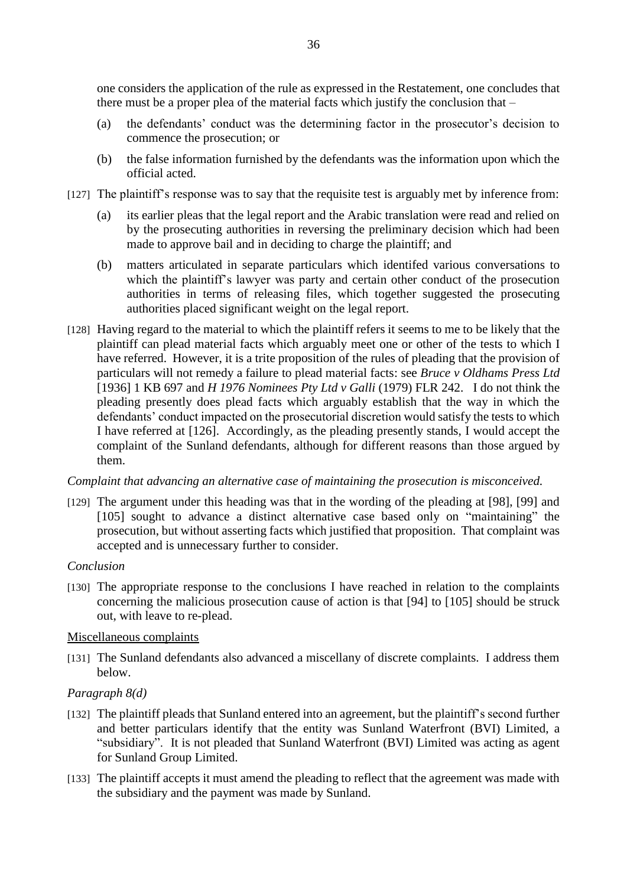one considers the application of the rule as expressed in the Restatement, one concludes that there must be a proper plea of the material facts which justify the conclusion that  $-$ 

- (a) the defendants' conduct was the determining factor in the prosecutor's decision to commence the prosecution; or
- (b) the false information furnished by the defendants was the information upon which the official acted.
- [127] The plaintiff's response was to say that the requisite test is arguably met by inference from:
	- (a) its earlier pleas that the legal report and the Arabic translation were read and relied on by the prosecuting authorities in reversing the preliminary decision which had been made to approve bail and in deciding to charge the plaintiff; and
	- (b) matters articulated in separate particulars which identifed various conversations to which the plaintiff's lawyer was party and certain other conduct of the prosecution authorities in terms of releasing files, which together suggested the prosecuting authorities placed significant weight on the legal report.
- [128] Having regard to the material to which the plaintiff refers it seems to me to be likely that the plaintiff can plead material facts which arguably meet one or other of the tests to which I have referred. However, it is a trite proposition of the rules of pleading that the provision of particulars will not remedy a failure to plead material facts: see *Bruce v Oldhams Press Ltd*  [1936] 1 KB 697 and *H 1976 Nominees Pty Ltd v Galli* (1979) FLR 242. I do not think the pleading presently does plead facts which arguably establish that the way in which the defendants' conduct impacted on the prosecutorial discretion would satisfy the tests to which I have referred at [126]. Accordingly, as the pleading presently stands, I would accept the complaint of the Sunland defendants, although for different reasons than those argued by them.

## *Complaint that advancing an alternative case of maintaining the prosecution is misconceived.*

[129] The argument under this heading was that in the wording of the pleading at [98], [99] and [105] sought to advance a distinct alternative case based only on "maintaining" the prosecution, but without asserting facts which justified that proposition. That complaint was accepted and is unnecessary further to consider.

## *Conclusion*

[130] The appropriate response to the conclusions I have reached in relation to the complaints concerning the malicious prosecution cause of action is that [94] to [105] should be struck out, with leave to re-plead.

## Miscellaneous complaints

[131] The Sunland defendants also advanced a miscellany of discrete complaints. I address them below.

## *Paragraph 8(d)*

- [132] The plaintiff pleads that Sunland entered into an agreement, but the plaintiff's second further and better particulars identify that the entity was Sunland Waterfront (BVI) Limited, a "subsidiary". It is not pleaded that Sunland Waterfront (BVI) Limited was acting as agent for Sunland Group Limited.
- [133] The plaintiff accepts it must amend the pleading to reflect that the agreement was made with the subsidiary and the payment was made by Sunland.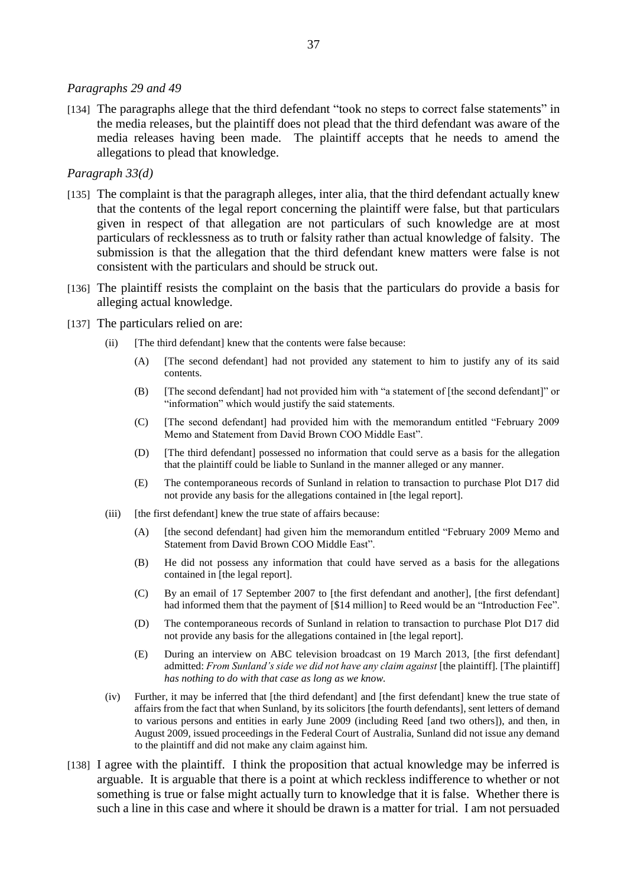#### *Paragraphs 29 and 49*

[134] The paragraphs allege that the third defendant "took no steps to correct false statements" in the media releases, but the plaintiff does not plead that the third defendant was aware of the media releases having been made. The plaintiff accepts that he needs to amend the allegations to plead that knowledge.

#### *Paragraph 33(d)*

- [135] The complaint is that the paragraph alleges, inter alia, that the third defendant actually knew that the contents of the legal report concerning the plaintiff were false, but that particulars given in respect of that allegation are not particulars of such knowledge are at most particulars of recklessness as to truth or falsity rather than actual knowledge of falsity. The submission is that the allegation that the third defendant knew matters were false is not consistent with the particulars and should be struck out.
- [136] The plaintiff resists the complaint on the basis that the particulars do provide a basis for alleging actual knowledge.
- [137] The particulars relied on are:
	- (ii) [The third defendant] knew that the contents were false because:
		- (A) [The second defendant] had not provided any statement to him to justify any of its said contents.
		- (B) [The second defendant] had not provided him with "a statement of [the second defendant]" or "information" which would justify the said statements.
		- (C) [The second defendant] had provided him with the memorandum entitled "February 2009 Memo and Statement from David Brown COO Middle East".
		- (D) [The third defendant] possessed no information that could serve as a basis for the allegation that the plaintiff could be liable to Sunland in the manner alleged or any manner.
		- (E) The contemporaneous records of Sunland in relation to transaction to purchase Plot D17 did not provide any basis for the allegations contained in [the legal report].
	- (iii) [the first defendant] knew the true state of affairs because:
		- (A) [the second defendant] had given him the memorandum entitled "February 2009 Memo and Statement from David Brown COO Middle East".
		- (B) He did not possess any information that could have served as a basis for the allegations contained in [the legal report].
		- (C) By an email of 17 September 2007 to [the first defendant and another], [the first defendant] had informed them that the payment of [\$14 million] to Reed would be an "Introduction Fee".
		- (D) The contemporaneous records of Sunland in relation to transaction to purchase Plot D17 did not provide any basis for the allegations contained in [the legal report].
		- (E) During an interview on ABC television broadcast on 19 March 2013, [the first defendant] admitted: *From Sunland's side we did not have any claim against* [the plaintiff]*.* [The plaintiff] *has nothing to do with that case as long as we know.*
	- (iv) Further, it may be inferred that [the third defendant] and [the first defendant] knew the true state of affairs from the fact that when Sunland, by its solicitors [the fourth defendants], sent letters of demand to various persons and entities in early June 2009 (including Reed [and two others]), and then, in August 2009, issued proceedings in the Federal Court of Australia, Sunland did not issue any demand to the plaintiff and did not make any claim against him.
- [138] I agree with the plaintiff. I think the proposition that actual knowledge may be inferred is arguable. It is arguable that there is a point at which reckless indifference to whether or not something is true or false might actually turn to knowledge that it is false. Whether there is such a line in this case and where it should be drawn is a matter for trial. I am not persuaded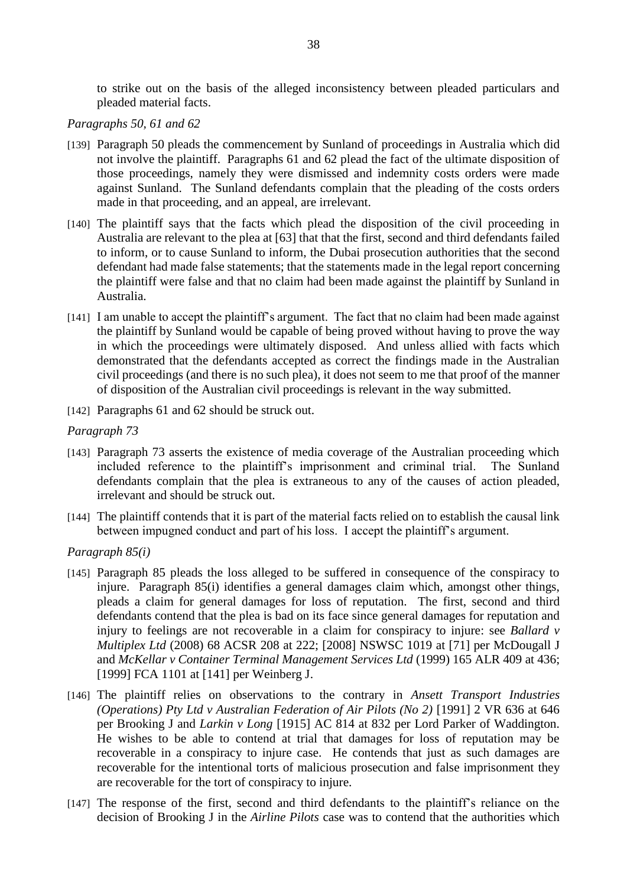to strike out on the basis of the alleged inconsistency between pleaded particulars and pleaded material facts.

## *Paragraphs 50, 61 and 62*

- [139] Paragraph 50 pleads the commencement by Sunland of proceedings in Australia which did not involve the plaintiff. Paragraphs 61 and 62 plead the fact of the ultimate disposition of those proceedings, namely they were dismissed and indemnity costs orders were made against Sunland. The Sunland defendants complain that the pleading of the costs orders made in that proceeding, and an appeal, are irrelevant.
- [140] The plaintiff says that the facts which plead the disposition of the civil proceeding in Australia are relevant to the plea at [63] that that the first, second and third defendants failed to inform, or to cause Sunland to inform, the Dubai prosecution authorities that the second defendant had made false statements; that the statements made in the legal report concerning the plaintiff were false and that no claim had been made against the plaintiff by Sunland in Australia.
- [141] I am unable to accept the plaintiff's argument. The fact that no claim had been made against the plaintiff by Sunland would be capable of being proved without having to prove the way in which the proceedings were ultimately disposed. And unless allied with facts which demonstrated that the defendants accepted as correct the findings made in the Australian civil proceedings (and there is no such plea), it does not seem to me that proof of the manner of disposition of the Australian civil proceedings is relevant in the way submitted.
- [142] Paragraphs 61 and 62 should be struck out.

## *Paragraph 73*

- [143] Paragraph 73 asserts the existence of media coverage of the Australian proceeding which included reference to the plaintiff's imprisonment and criminal trial. The Sunland defendants complain that the plea is extraneous to any of the causes of action pleaded, irrelevant and should be struck out.
- [144] The plaintiff contends that it is part of the material facts relied on to establish the causal link between impugned conduct and part of his loss. I accept the plaintiff's argument.

#### *Paragraph 85(i)*

- [145] Paragraph 85 pleads the loss alleged to be suffered in consequence of the conspiracy to injure. Paragraph 85(i) identifies a general damages claim which, amongst other things, pleads a claim for general damages for loss of reputation. The first, second and third defendants contend that the plea is bad on its face since general damages for reputation and injury to feelings are not recoverable in a claim for conspiracy to injure: see *Ballard v Multiplex Ltd* (2008) 68 ACSR 208 at 222; [2008] NSWSC 1019 at [71] per McDougall J and *McKellar v Container Terminal Management Services Ltd* (1999) 165 ALR 409 at 436; [1999] FCA 1101 at [141] per Weinberg J.
- [146] The plaintiff relies on observations to the contrary in *Ansett Transport Industries (Operations) Pty Ltd v Australian Federation of Air Pilots (No 2)* [1991] 2 VR 636 at 646 per Brooking J and *Larkin v Long* [1915] AC 814 at 832 per Lord Parker of Waddington. He wishes to be able to contend at trial that damages for loss of reputation may be recoverable in a conspiracy to injure case. He contends that just as such damages are recoverable for the intentional torts of malicious prosecution and false imprisonment they are recoverable for the tort of conspiracy to injure.
- [147] The response of the first, second and third defendants to the plaintiff's reliance on the decision of Brooking J in the *Airline Pilots* case was to contend that the authorities which